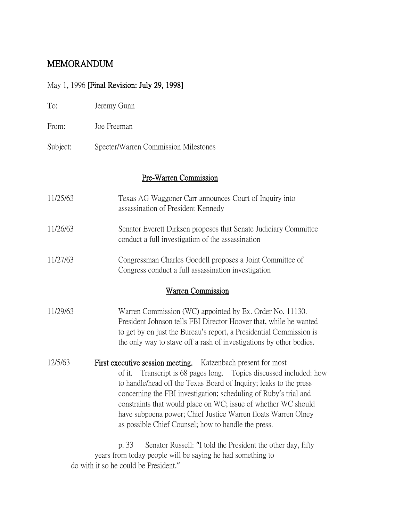# MEMORANDUM

## May 1, 1996 [Final Revision: July 29, 1998]

| To:      | Jeremy Gunn                                                                                                                                                                                                                                                                                                                                                                                                                                                           |  |  |  |  |
|----------|-----------------------------------------------------------------------------------------------------------------------------------------------------------------------------------------------------------------------------------------------------------------------------------------------------------------------------------------------------------------------------------------------------------------------------------------------------------------------|--|--|--|--|
| From:    | Joe Freeman                                                                                                                                                                                                                                                                                                                                                                                                                                                           |  |  |  |  |
| Subject: | Specter/Warren Commission Milestones                                                                                                                                                                                                                                                                                                                                                                                                                                  |  |  |  |  |
|          | Pre-Warren Commission                                                                                                                                                                                                                                                                                                                                                                                                                                                 |  |  |  |  |
| 11/25/63 | Texas AG Waggoner Carr announces Court of Inquiry into<br>assassination of President Kennedy                                                                                                                                                                                                                                                                                                                                                                          |  |  |  |  |
| 11/26/63 | Senator Everett Dirksen proposes that Senate Judiciary Committee<br>conduct a full investigation of the assassination                                                                                                                                                                                                                                                                                                                                                 |  |  |  |  |
| 11/27/63 | Congressman Charles Goodell proposes a Joint Committee of<br>Congress conduct a full assassination investigation                                                                                                                                                                                                                                                                                                                                                      |  |  |  |  |
|          | <b>Warren Commission</b>                                                                                                                                                                                                                                                                                                                                                                                                                                              |  |  |  |  |
| 11/29/63 | Warren Commission (WC) appointed by Ex. Order No. 11130.<br>President Johnson tells FBI Director Hoover that, while he wanted<br>to get by on just the Bureau's report, a Presidential Commission is<br>the only way to stave off a rash of investigations by other bodies.                                                                                                                                                                                           |  |  |  |  |
| 12/5/63  | First executive session meeting. Katzenbach present for most<br>of it. Transcript is 68 pages long. Topics discussed included: how<br>to handle/head off the Texas Board of Inquiry; leaks to the press<br>concerning the FBI investigation; scheduling of Ruby's trial and<br>constraints that would place on WC; issue of whether WC should<br>have subpoena power; Chief Justice Warren floats Warren Olney<br>as possible Chief Counsel; how to handle the press. |  |  |  |  |
|          | p. 33<br>Senator Russell: "I told the President the other day, fifty<br>years from today people will be saying he had something to                                                                                                                                                                                                                                                                                                                                    |  |  |  |  |

do with it so he could be President."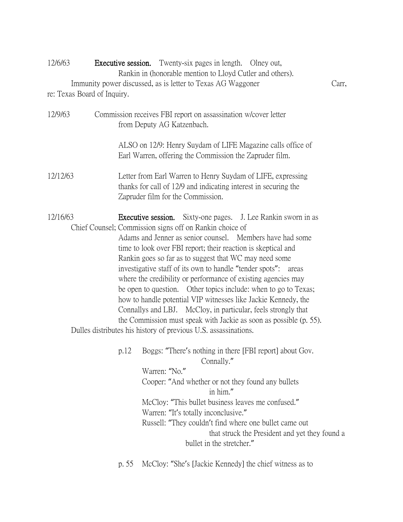| 12/6/63                     | <b>Executive session.</b> Twenty-six pages in length. Olney out,<br>Rankin in (honorable mention to Lloyd Cutler and others). |                                                                                                                                                                                                                                                                                                                                                                                                                                                                                                                                                                                                                                                                                                                                    |       |  |
|-----------------------------|-------------------------------------------------------------------------------------------------------------------------------|------------------------------------------------------------------------------------------------------------------------------------------------------------------------------------------------------------------------------------------------------------------------------------------------------------------------------------------------------------------------------------------------------------------------------------------------------------------------------------------------------------------------------------------------------------------------------------------------------------------------------------------------------------------------------------------------------------------------------------|-------|--|
|                             |                                                                                                                               | Immunity power discussed, as is letter to Texas AG Waggoner                                                                                                                                                                                                                                                                                                                                                                                                                                                                                                                                                                                                                                                                        | Carr, |  |
| re: Texas Board of Inquiry. |                                                                                                                               |                                                                                                                                                                                                                                                                                                                                                                                                                                                                                                                                                                                                                                                                                                                                    |       |  |
| 12/9/63                     |                                                                                                                               | Commission receives FBI report on assassination w/cover letter<br>from Deputy AG Katzenbach.<br>ALSO on 12/9: Henry Suydam of LIFE Magazine calls office of                                                                                                                                                                                                                                                                                                                                                                                                                                                                                                                                                                        |       |  |
|                             |                                                                                                                               | Earl Warren, offering the Commission the Zapruder film.                                                                                                                                                                                                                                                                                                                                                                                                                                                                                                                                                                                                                                                                            |       |  |
| 12/12/63                    |                                                                                                                               | Letter from Earl Warren to Henry Suydam of LIFE, expressing<br>thanks for call of 12/9 and indicating interest in securing the<br>Zapruder film for the Commission.                                                                                                                                                                                                                                                                                                                                                                                                                                                                                                                                                                |       |  |
| 12/16/63                    |                                                                                                                               | Executive session.<br>Sixty-one pages. J. Lee Rankin sworn in as<br>Chief Counsel; Commission signs off on Rankin choice of<br>Adams and Jenner as senior counsel. Members have had some<br>time to look over FBI report; their reaction is skeptical and<br>Rankin goes so far as to suggest that WC may need some<br>investigative staff of its own to handle "tender spots": areas<br>where the credibility or performance of existing agencies may<br>be open to question. Other topics include: when to go to Texas;<br>how to handle potential VIP witnesses like Jackie Kennedy, the<br>Connallys and LBJ. McCloy, in particular, feels strongly that<br>the Commission must speak with Jackie as soon as possible (p. 55). |       |  |
|                             |                                                                                                                               | Dulles distributes his history of previous U.S. assassinations.                                                                                                                                                                                                                                                                                                                                                                                                                                                                                                                                                                                                                                                                    |       |  |
|                             | p.12                                                                                                                          | Boggs: "There's nothing in there [FBI report] about Gov.<br>Connally."<br>Warren: "No."                                                                                                                                                                                                                                                                                                                                                                                                                                                                                                                                                                                                                                            |       |  |
|                             |                                                                                                                               | Cooper: "And whether or not they found any bullets<br>in him."                                                                                                                                                                                                                                                                                                                                                                                                                                                                                                                                                                                                                                                                     |       |  |
|                             |                                                                                                                               | McCloy: "This bullet business leaves me confused."<br>Warren: "It's totally inconclusive."<br>Russell: "They couldn't find where one bullet came out<br>that struck the President and yet they found a<br>bullet in the stretcher."                                                                                                                                                                                                                                                                                                                                                                                                                                                                                                |       |  |
|                             | p. 55                                                                                                                         | McCloy: "She's [Jackie Kennedy] the chief witness as to                                                                                                                                                                                                                                                                                                                                                                                                                                                                                                                                                                                                                                                                            |       |  |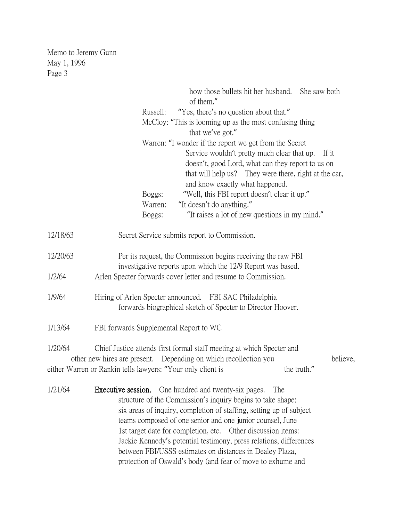|          | how those bullets hit her husband. She saw both<br>of them."                 |
|----------|------------------------------------------------------------------------------|
|          | "Yes, there's no question about that."<br>Russell:                           |
|          | McCloy: "This is looming up as the most confusing thing                      |
|          | that we've got."                                                             |
|          | Warren: "I wonder if the report we get from the Secret                       |
|          | Service wouldn't pretty much clear that up.<br>If it                         |
|          | doesn't, good Lord, what can they report to us on                            |
|          | that will help us? They were there, right at the car,                        |
|          | and know exactly what happened.                                              |
|          | "Well, this FBI report doesn't clear it up."<br>Boggs:                       |
|          | "It doesn't do anything."<br>Warren:                                         |
|          | "It raises a lot of new questions in my mind."<br>Boggs:                     |
|          |                                                                              |
| 12/18/63 | Secret Service submits report to Commission.                                 |
| 12/20/63 | Per its request, the Commission begins receiving the raw FBI                 |
|          | investigative reports upon which the 12/9 Report was based.                  |
| 1/2/64   | Arlen Specter forwards cover letter and resume to Commission.                |
|          |                                                                              |
| 1/9/64   | Hiring of Arlen Specter announced. FBI SAC Philadelphia                      |
|          | forwards biographical sketch of Specter to Director Hoover.                  |
|          |                                                                              |
| 1/13/64  | FBI forwards Supplemental Report to WC                                       |
| 1/20/64  | Chief Justice attends first formal staff meeting at which Specter and        |
|          | other new hires are present. Depending on which recollection you<br>believe, |
|          | either Warren or Rankin tells lawyers: "Your only client is<br>the truth."   |
|          |                                                                              |
| 1/21/64  | <b>Executive session.</b> One hundred and twenty-six pages.<br>The           |
|          | structure of the Commission's inquiry begins to take shape:                  |
|          | six areas of inquiry, completion of staffing, setting up of subject          |
|          | teams composed of one senior and one junior counsel, June                    |
|          | 1st target date for completion, etc. Other discussion items:                 |
|          | Jackie Kennedy's potential testimony, press relations, differences           |
|          | between FBI/USSS estimates on distances in Dealey Plaza,                     |
|          | protection of Oswald's body (and fear of move to exhume and                  |
|          |                                                                              |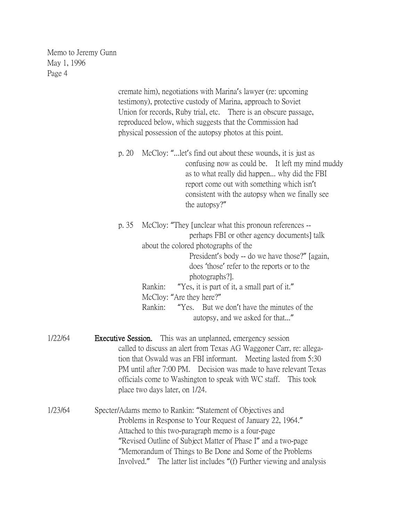cremate him), negotiations with Marina's lawyer (re: upcoming testimony), protective custody of Marina, approach to Soviet Union for records, Ruby trial, etc. There is an obscure passage, reproduced below, which suggests that the Commission had physical possession of the autopsy photos at this point. p. 20 McCloy: "...let's find out about these wounds, it is just as confusing now as could be. It left my mind muddy as to what really did happen... why did the FBI report come out with something which isn't consistent with the autopsy when we finally see the autopsy?" p. 35 McCloy: "They [unclear what this pronoun references - perhaps FBI or other agency documents] talk about the colored photographs of the President's body -- do we have those?" [again, does 'those' refer to the reports or to the photographs?]. Rankin: "Yes, it is part of it, a small part of it." McCloy: "Are they here?" Rankin: "Yes. But we don't have the minutes of the autopsy, and we asked for that..." 1/22/64 Executive Session. This was an unplanned, emergency session called to discuss an alert from Texas AG Waggoner Carr, re: allegation that Oswald was an FBI informant. Meeting lasted from 5:30 PM until after 7:00 PM. Decision was made to have relevant Texas officials come to Washington to speak with WC staff. This took place two days later, on 1/24. 1/23/64 Specter/Adams memo to Rankin: "Statement of Objectives and Problems in Response to Your Request of January 22, 1964." Attached to this two-paragraph memo is a four-page

> "Memorandum of Things to Be Done and Some of the Problems Involved." The latter list includes "(f) Further viewing and analysis

"Revised Outline of Subject Matter of Phase I" and a two-page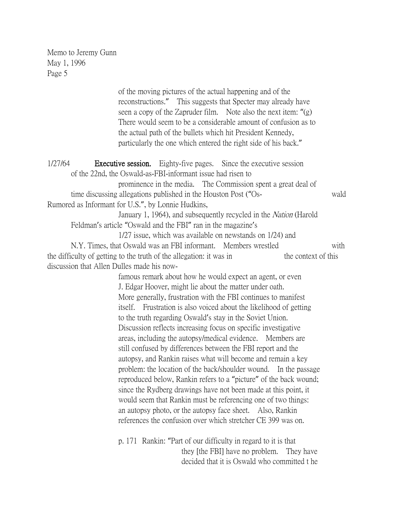> of the moving pictures of the actual happening and of the reconstructions." This suggests that Specter may already have seen a copy of the Zapruder film. Note also the next item: "(g) There would seem to be a considerable amount of confusion as to the actual path of the bullets which hit President Kennedy, particularly the one which entered the right side of his back."

1/27/64 Executive session. Eighty-five pages. Since the executive session of the 22nd, the Oswald-as-FBI-informant issue had risen to prominence in the media. The Commission spent a great deal of time discussing allegations published in the Houston Post ("Os- wald Rumored as Informant for U.S.", by Lonnie Hudkins, January 1, 1964), and subsequently recycled in the *Nation* (Harold Feldman's article "Oswald and the FBI" ran in the magazine's 1/27 issue, which was available on newstands on 1/24) and N.Y. Times, that Oswald was an FBI informant. Members wrestled with the difficulty of getting to the truth of the allegation: it was in the context of this discussion that Allen Dulles made his nowfamous remark about how he would expect an agent, or even

J. Edgar Hoover, might lie about the matter under oath. More generally, frustration with the FBI continues to manifest itself. Frustration is also voiced about the likelihood of getting to the truth regarding Oswald's stay in the Soviet Union. Discussion reflects increasing focus on specific investigative areas, including the autopsy/medical evidence. Members are still confused by differences between the FBI report and the autopsy, and Rankin raises what will become and remain a key problem: the location of the back/shoulder wound. In the passage reproduced below, Rankin refers to a "picture" of the back wound; since the Rydberg drawings have not been made at this point, it would seem that Rankin must be referencing one of two things: an autopsy photo, or the autopsy face sheet. Also, Rankin references the confusion over which stretcher CE 399 was on.

p. 171 Rankin: "Part of our difficulty in regard to it is that they [the FBI] have no problem. They have decided that it is Oswald who committed t he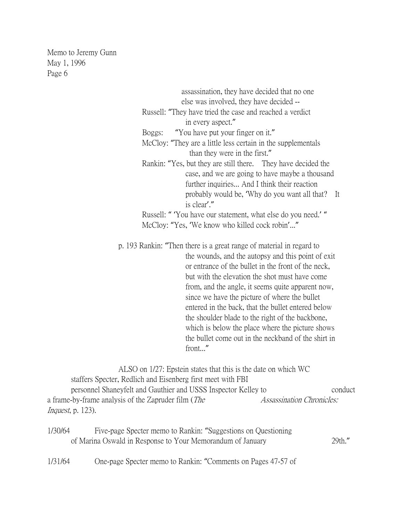> assassination, they have decided that no one else was involved, they have decided -- Russell: "They have tried the case and reached a verdict in every aspect." Boggs: "You have put your finger on it." McCloy: "They are a little less certain in the supplementals than they were in the first." Rankin: "Yes, but they are still there. They have decided the case, and we are going to have maybe a thousand further inquiries... And I think their reaction probably would be, 'Why do you want all that? It is clear'." Russell: " 'You have our statement, what else do you need.' " McCloy: "Yes, 'We know who killed cock robin'..." p. 193 Rankin: "Then there is a great range of material in regard to the wounds, and the autopsy and this point of exit or entrance of the bullet in the front of the neck, but with the elevation the shot must have come from, and the angle, it seems quite apparent now, since we have the picture of where the bullet entered in the back, that the bullet entered below

 the shoulder blade to the right of the backbone, which is below the place where the picture shows the bullet come out in the neckband of the shirt in front..."

ALSO on 1/27: Epstein states that this is the date on which WC staffers Specter, Redlich and Eisenberg first meet with FBI personnel Shaneyfelt and Gauthier and USSS Inspector Kelley to conduct a frame-by-frame analysis of the Zapruder film (*The Assassination Chronicles:* Inquest, p. 123).

| 1/30/64 | Five-page Specter memo to Rankin: "Suggestions on Questioning |        |
|---------|---------------------------------------------------------------|--------|
|         | of Marina Oswald in Response to Your Memorandum of January    | 29th." |

1/31/64 One-page Specter memo to Rankin: "Comments on Pages 47-57 of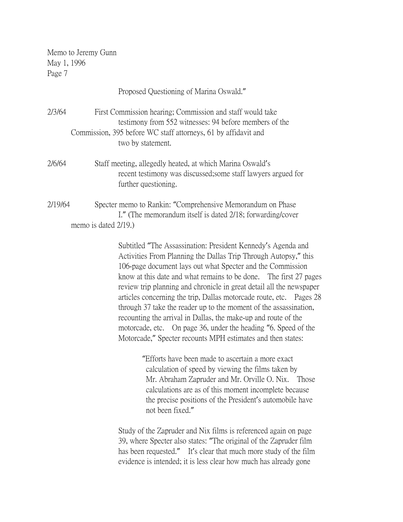|         | Proposed Questioning of Marina Oswald."                                                                                                                                                                                                                                                                                                                                                                                                                                                                                                                                                                                                                                                                                                                                                                                                                                                                                                                                                                |
|---------|--------------------------------------------------------------------------------------------------------------------------------------------------------------------------------------------------------------------------------------------------------------------------------------------------------------------------------------------------------------------------------------------------------------------------------------------------------------------------------------------------------------------------------------------------------------------------------------------------------------------------------------------------------------------------------------------------------------------------------------------------------------------------------------------------------------------------------------------------------------------------------------------------------------------------------------------------------------------------------------------------------|
| 2/3/64  | First Commission hearing; Commission and staff would take<br>testimony from 552 witnesses: 94 before members of the<br>Commission, 395 before WC staff attorneys, 61 by affidavit and<br>two by statement.                                                                                                                                                                                                                                                                                                                                                                                                                                                                                                                                                                                                                                                                                                                                                                                             |
| 2/6/64  | Staff meeting, allegedly heated, at which Marina Oswald's<br>recent testimony was discussed; some staff lawyers argued for<br>further questioning.                                                                                                                                                                                                                                                                                                                                                                                                                                                                                                                                                                                                                                                                                                                                                                                                                                                     |
| 2/19/64 | Specter memo to Rankin: "Comprehensive Memorandum on Phase<br>I." (The memorandum itself is dated 2/18; forwarding/cover<br>memo is dated $2/19$ .)                                                                                                                                                                                                                                                                                                                                                                                                                                                                                                                                                                                                                                                                                                                                                                                                                                                    |
|         | Subtitled "The Assassination: President Kennedy's Agenda and<br>Activities From Planning the Dallas Trip Through Autopsy," this<br>106-page document lays out what Specter and the Commission<br>know at this date and what remains to be done. The first 27 pages<br>review trip planning and chronicle in great detail all the newspaper<br>articles concerning the trip, Dallas motorcade route, etc. Pages 28<br>through 37 take the reader up to the moment of the assassination,<br>recounting the arrival in Dallas, the make-up and route of the<br>motorcade, etc. On page 36, under the heading "6. Speed of the<br>Motorcade," Specter recounts MPH estimates and then states:<br>"Efforts have been made to ascertain a more exact<br>calculation of speed by viewing the films taken by<br>Mr. Abraham Zapruder and Mr. Orville O. Nix.<br>Those<br>calculations are as of this moment incomplete because<br>the precise positions of the President's automobile have<br>not been fixed." |
|         | Study of the Zapruder and Nix films is referenced again on page<br>39, where Specter also states: "The original of the Zapruder film<br>has been requested." It's clear that much more study of the film<br>evidence is intended; it is less clear how much has already gone                                                                                                                                                                                                                                                                                                                                                                                                                                                                                                                                                                                                                                                                                                                           |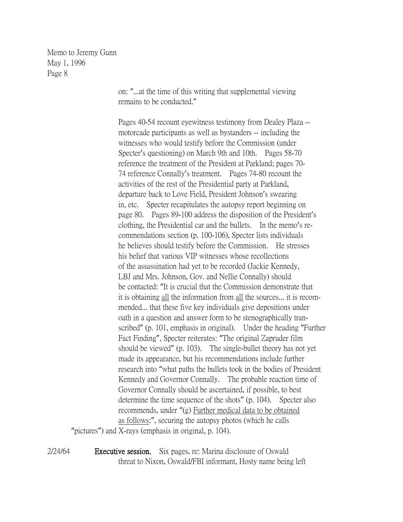> on: "...at the time of this writing that supplemental viewing remains to be conducted."

Pages 40-54 recount eyewitness testimony from Dealey Plaza - motorcade participants as well as bystanders -- including the witnesses who would testify before the Commission (under Specter's questioning) on March 9th and 10th. Pages 58-70 reference the treatment of the President at Parkland; pages 70- 74 reference Connally's treatment. Pages 74-80 recount the activities of the rest of the Presidential party at Parkland, departure back to Love Field, President Johnson's swearing in, etc. Specter recapitulates the autopsy report beginning on page 80. Pages 89-100 address the disposition of the President's clothing, the Presidential car and the bullets. In the memo's recommendations section (p. 100-106), Specter lists individuals he believes should testify before the Commission. He stresses his belief that various VIP witnesses whose recollections of the assassination had yet to be recorded (Jackie Kennedy, LBJ and Mrs. Johnson, Gov. and Nellie Connally) should be contacted: "It is crucial that the Commission demonstrate that it is obtaining all the information from all the sources... it is recommended... that these five key individuals give depositions under oath in a question and answer form to be stenographically transcribed" (p. 101, emphasis in original). Under the heading "Further Fact Finding", Specter reiterates: "The original Zapruder film should be viewed" (p. 103). The single-bullet theory has not yet made its appearance, but his recommendations include further research into "what paths the bullets took in the bodies of President Kennedy and Governor Connally. The probable reaction time of Governor Connally should be ascertained, if possible, to best determine the time sequence of the shots" (p. 104). Specter also recommends, under "(g) Further medical data to be obtained as follows:", securing the autopsy photos (which he calls

"pictures") and X-rays (emphasis in original, p. 104).

2/24/64 Executive session. Six pages, re: Marina disclosure of Oswald threat to Nixon, Oswald/FBI informant, Hosty name being left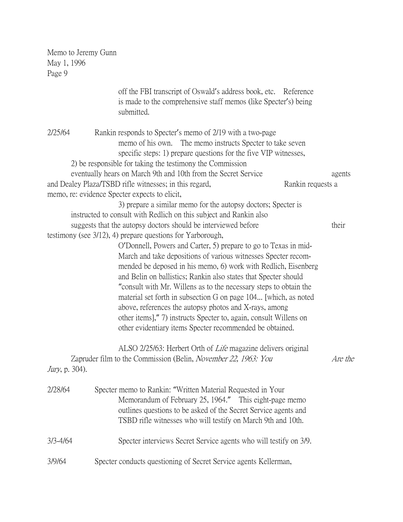|                        | off the FBI transcript of Oswald's address book, etc. Reference<br>is made to the comprehensive staff memos (like Specter's) being<br>submitted.                                                                                                                                                                                                                                                                                                                                                                                                                                                          |         |
|------------------------|-----------------------------------------------------------------------------------------------------------------------------------------------------------------------------------------------------------------------------------------------------------------------------------------------------------------------------------------------------------------------------------------------------------------------------------------------------------------------------------------------------------------------------------------------------------------------------------------------------------|---------|
| 2/25/64                | Rankin responds to Specter's memo of 2/19 with a two-page<br>memo of his own.<br>The memo instructs Specter to take seven<br>specific steps: 1) prepare questions for the five VIP witnesses,                                                                                                                                                                                                                                                                                                                                                                                                             |         |
|                        | 2) be responsible for taking the testimony the Commission                                                                                                                                                                                                                                                                                                                                                                                                                                                                                                                                                 |         |
|                        | eventually hears on March 9th and 10th from the Secret Service                                                                                                                                                                                                                                                                                                                                                                                                                                                                                                                                            | agents  |
|                        | and Dealey Plaza/TSBD rifle witnesses; in this regard,<br>Rankin requests a                                                                                                                                                                                                                                                                                                                                                                                                                                                                                                                               |         |
|                        | memo, re: evidence Specter expects to elicit,<br>3) prepare a similar memo for the autopsy doctors; Specter is                                                                                                                                                                                                                                                                                                                                                                                                                                                                                            |         |
|                        | instructed to consult with Redlich on this subject and Rankin also                                                                                                                                                                                                                                                                                                                                                                                                                                                                                                                                        |         |
|                        | suggests that the autopsy doctors should be interviewed before                                                                                                                                                                                                                                                                                                                                                                                                                                                                                                                                            | their   |
|                        | testimony (see 3/12), 4) prepare questions for Yarborough,                                                                                                                                                                                                                                                                                                                                                                                                                                                                                                                                                |         |
|                        | O'Donnell, Powers and Carter, 5) prepare to go to Texas in mid-<br>March and take depositions of various witnesses Specter recom-<br>mended be deposed in his memo, 6) work with Redlich, Eisenberg<br>and Belin on ballistics; Rankin also states that Specter should<br>"consult with Mr. Willens as to the necessary steps to obtain the<br>material set forth in subsection G on page 104 [which, as noted<br>above, references the autopsy photos and X-rays, among<br>other items]," 7) instructs Specter to, again, consult Willens on<br>other evidentiary items Specter recommended be obtained. |         |
| <i>Jury</i> , p. 304). | ALSO 2/25/63: Herbert Orth of <i>Life</i> magazine delivers original<br>Zapruder film to the Commission (Belin, November 22, 1963: You                                                                                                                                                                                                                                                                                                                                                                                                                                                                    | Are the |
| 2/28/64                | Specter memo to Rankin: "Written Material Requested in Your<br>Memorandum of February 25, 1964." This eight-page memo<br>outlines questions to be asked of the Secret Service agents and<br>TSBD rifle witnesses who will testify on March 9th and 10th.                                                                                                                                                                                                                                                                                                                                                  |         |
| $3/3 - 4/64$           | Specter interviews Secret Service agents who will testify on 3/9.                                                                                                                                                                                                                                                                                                                                                                                                                                                                                                                                         |         |
| 3/9/64                 | Specter conducts questioning of Secret Service agents Kellerman,                                                                                                                                                                                                                                                                                                                                                                                                                                                                                                                                          |         |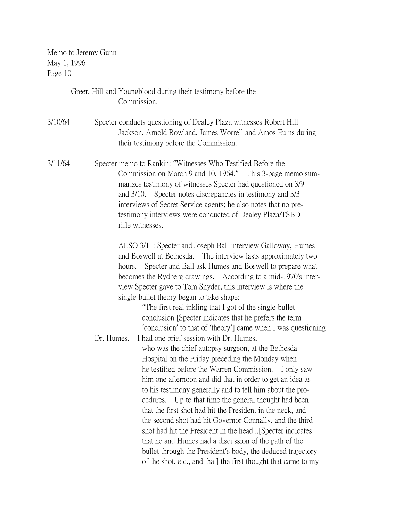|         |            | Greer, Hill and Youngblood during their testimony before the<br>Commission.                                                                                                                                                                                                                                                                                                                                                                                                                                                                                                                                                                                                                                                                                                     |
|---------|------------|---------------------------------------------------------------------------------------------------------------------------------------------------------------------------------------------------------------------------------------------------------------------------------------------------------------------------------------------------------------------------------------------------------------------------------------------------------------------------------------------------------------------------------------------------------------------------------------------------------------------------------------------------------------------------------------------------------------------------------------------------------------------------------|
| 3/10/64 |            | Specter conducts questioning of Dealey Plaza witnesses Robert Hill<br>Jackson, Arnold Rowland, James Worrell and Amos Euins during<br>their testimony before the Commission.                                                                                                                                                                                                                                                                                                                                                                                                                                                                                                                                                                                                    |
| 3/11/64 |            | Specter memo to Rankin: "Witnesses Who Testified Before the<br>Commission on March 9 and 10, 1964." This 3-page memo sum-<br>marizes testimony of witnesses Specter had questioned on 3/9<br>Specter notes discrepancies in testimony and 3/3<br>and $3/10$ .<br>interviews of Secret Service agents; he also notes that no pre-<br>testimony interviews were conducted of Dealey Plaza/TSBD<br>rifle witnesses.                                                                                                                                                                                                                                                                                                                                                                |
|         |            | ALSO 3/11: Specter and Joseph Ball interview Galloway, Humes<br>and Boswell at Bethesda. The interview lasts approximately two<br>Specter and Ball ask Humes and Boswell to prepare what<br>hours.<br>becomes the Rydberg drawings. According to a mid-1970's inter-<br>view Specter gave to Tom Snyder, this interview is where the<br>single-bullet theory began to take shape:<br>"The first real inkling that I got of the single-bullet"<br>conclusion [Specter indicates that he prefers the term<br>'conclusion' to that of 'theory'] came when I was questioning                                                                                                                                                                                                        |
|         | Dr. Humes. | I had one brief session with Dr. Humes,<br>who was the chief autopsy surgeon, at the Bethesda<br>Hospital on the Friday preceding the Monday when<br>he testified before the Warren Commission. I only saw<br>him one afternoon and did that in order to get an idea as<br>to his testimony generally and to tell him about the pro-<br>cedures. Up to that time the general thought had been<br>that the first shot had hit the President in the neck, and<br>the second shot had hit Governor Connally, and the third<br>shot had hit the President in the head [Specter indicates]<br>that he and Humes had a discussion of the path of the<br>bullet through the President's body, the deduced trajectory<br>of the shot, etc., and that] the first thought that came to my |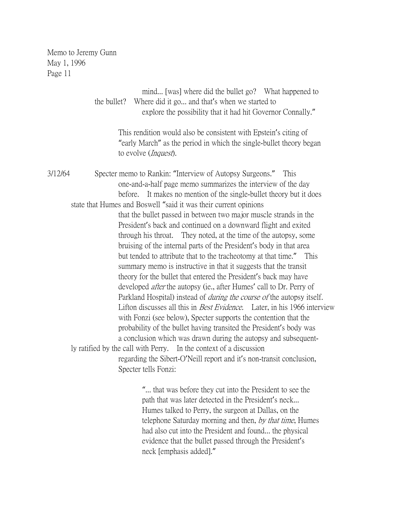|         | the bullet? | mind [was] where did the bullet go? What happened to<br>Where did it go and that's when we started to<br>explore the possibility that it had hit Governor Connally."                                                                                                                                                                                                                                                                                                                                                                                                                                                                                                                                                                                                                                                                                                                                                                                                                                                               |  |
|---------|-------------|------------------------------------------------------------------------------------------------------------------------------------------------------------------------------------------------------------------------------------------------------------------------------------------------------------------------------------------------------------------------------------------------------------------------------------------------------------------------------------------------------------------------------------------------------------------------------------------------------------------------------------------------------------------------------------------------------------------------------------------------------------------------------------------------------------------------------------------------------------------------------------------------------------------------------------------------------------------------------------------------------------------------------------|--|
|         |             | This rendition would also be consistent with Epstein's citing of<br>"early March" as the period in which the single-bullet theory began<br>to evolve ( <i>Inquest</i> ).                                                                                                                                                                                                                                                                                                                                                                                                                                                                                                                                                                                                                                                                                                                                                                                                                                                           |  |
| 3/12/64 |             | Specter memo to Rankin: "Interview of Autopsy Surgeons." This<br>one-and-a-half page memo summarizes the interview of the day<br>before. It makes no mention of the single-bullet theory but it does                                                                                                                                                                                                                                                                                                                                                                                                                                                                                                                                                                                                                                                                                                                                                                                                                               |  |
|         |             | state that Humes and Boswell "said it was their current opinions<br>that the bullet passed in between two major muscle strands in the<br>President's back and continued on a downward flight and exited<br>through his throat. They noted, at the time of the autopsy, some<br>bruising of the internal parts of the President's body in that area<br>but tended to attribute that to the tracheotomy at that time." This<br>summary memo is instructive in that it suggests that the transit<br>theory for the bullet that entered the President's back may have<br>developed <i>after</i> the autopsy (ie., after Humes' call to Dr. Perry of<br>Parkland Hospital) instead of <i>during the course of</i> the autopsy itself.<br>Lifton discusses all this in <i>Best Evidence</i> . Later, in his 1966 interview<br>with Fonzi (see below), Specter supports the contention that the<br>probability of the bullet having transited the President's body was<br>a conclusion which was drawn during the autopsy and subsequent- |  |
|         |             | ly ratified by the call with Perry. In the context of a discussion<br>regarding the Sibert-O'Neill report and it's non-transit conclusion,<br>Specter tells Fonzi:                                                                                                                                                                                                                                                                                                                                                                                                                                                                                                                                                                                                                                                                                                                                                                                                                                                                 |  |
|         |             | " that was before they cut into the President to see the<br>path that was later detected in the President's neck.                                                                                                                                                                                                                                                                                                                                                                                                                                                                                                                                                                                                                                                                                                                                                                                                                                                                                                                  |  |

path that was later detected in the President's neck... Humes talked to Perry, the surgeon at Dallas, on the telephone Saturday morning and then, by that time, Humes had also cut into the President and found... the physical evidence that the bullet passed through the President's neck [emphasis added]."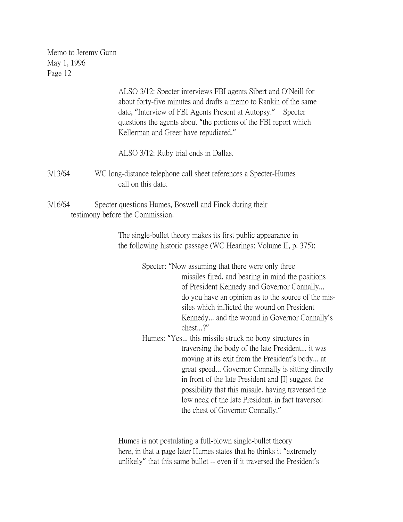|         | ALSO 3/12: Specter interviews FBI agents Sibert and O'Neill for<br>about forty-five minutes and drafts a memo to Rankin of the same<br>date, "Interview of FBI Agents Present at Autopsy." Specter<br>questions the agents about "the portions of the FBI report which<br>Kellerman and Greer have repudiated."                                                                                                                                                                                                                                                                                                                                                                                                                                   |
|---------|---------------------------------------------------------------------------------------------------------------------------------------------------------------------------------------------------------------------------------------------------------------------------------------------------------------------------------------------------------------------------------------------------------------------------------------------------------------------------------------------------------------------------------------------------------------------------------------------------------------------------------------------------------------------------------------------------------------------------------------------------|
|         | ALSO 3/12: Ruby trial ends in Dallas.                                                                                                                                                                                                                                                                                                                                                                                                                                                                                                                                                                                                                                                                                                             |
| 3/13/64 | WC long-distance telephone call sheet references a Specter-Humes<br>call on this date.                                                                                                                                                                                                                                                                                                                                                                                                                                                                                                                                                                                                                                                            |
| 3/16/64 | Specter questions Humes, Boswell and Finck during their<br>testimony before the Commission.                                                                                                                                                                                                                                                                                                                                                                                                                                                                                                                                                                                                                                                       |
|         | The single-bullet theory makes its first public appearance in<br>the following historic passage (WC Hearings: Volume II, p. 375):                                                                                                                                                                                                                                                                                                                                                                                                                                                                                                                                                                                                                 |
|         | Specter: "Now assuming that there were only three<br>missiles fired, and bearing in mind the positions<br>of President Kennedy and Governor Connally<br>do you have an opinion as to the source of the mis-<br>siles which inflicted the wound on President<br>Kennedy and the wound in Governor Connally's<br>chest?"<br>Humes: "Yes this missile struck no bony structures in<br>traversing the body of the late President it was<br>moving at its exit from the President's body at<br>great speed Governor Connally is sitting directly<br>in front of the late President and [I] suggest the<br>possibility that this missile, having traversed the<br>low neck of the late President, in fact traversed<br>the chest of Governor Connally." |

Humes is not postulating a full-blown single-bullet theory here, in that a page later Humes states that he thinks it "extremely unlikely" that this same bullet -- even if it traversed the President's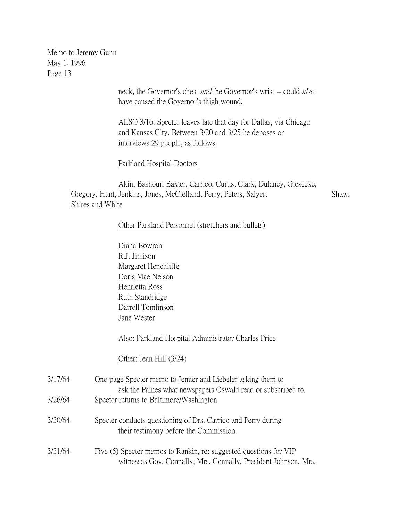> neck, the Governor's chest and the Governor's wrist -- could also have caused the Governor's thigh wound.

ALSO 3/16: Specter leaves late that day for Dallas, via Chicago and Kansas City. Between 3/20 and 3/25 he deposes or interviews 29 people, as follows:

Parkland Hospital Doctors

Akin, Bashour, Baxter, Carrico, Curtis, Clark, Dulaney, Giesecke, Gregory, Hunt, Jenkins, Jones, McClelland, Perry, Peters, Salyer, Shaw, Shires and White

#### Other Parkland Personnel (stretchers and bullets)

|         | Diana Bowron                                                                                                                         |
|---------|--------------------------------------------------------------------------------------------------------------------------------------|
|         | R.J. Jimison                                                                                                                         |
|         | Margaret Henchliffe                                                                                                                  |
|         | Doris Mae Nelson                                                                                                                     |
|         | Henrietta Ross                                                                                                                       |
|         | Ruth Standridge                                                                                                                      |
|         | Darrell Tomlinson                                                                                                                    |
|         | Jane Wester                                                                                                                          |
|         | Also: Parkland Hospital Administrator Charles Price                                                                                  |
|         | Other: Jean Hill $(3/24)$                                                                                                            |
| 3/17/64 | One-page Specter memo to Jenner and Liebeler asking them to<br>ask the Paines what newspapers Oswald read or subscribed to.          |
| 3/26/64 | Specter returns to Baltimore/Washington                                                                                              |
| 3/30/64 | Specter conducts questioning of Drs. Carrico and Perry during<br>their testimony before the Commission.                              |
| 3/31/64 | Five (5) Specter memos to Rankin, re: suggested questions for VIP<br>witnesses Gov. Connally, Mrs. Connally, President Johnson, Mrs. |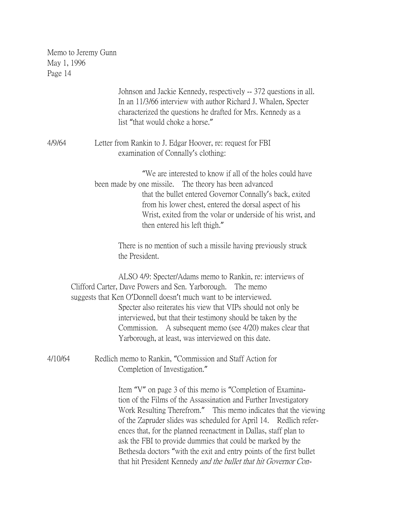|         | Johnson and Jackie Kennedy, respectively -- 372 questions in all.<br>In an 11/3/66 interview with author Richard J. Whalen, Specter<br>characterized the questions he drafted for Mrs. Kennedy as a<br>list "that would choke a horse."                                                                                                                                                                                                                                                                                                              |
|---------|------------------------------------------------------------------------------------------------------------------------------------------------------------------------------------------------------------------------------------------------------------------------------------------------------------------------------------------------------------------------------------------------------------------------------------------------------------------------------------------------------------------------------------------------------|
| 4/9/64  | Letter from Rankin to J. Edgar Hoover, re: request for FBI<br>examination of Connally's clothing:                                                                                                                                                                                                                                                                                                                                                                                                                                                    |
|         | "We are interested to know if all of the holes could have<br>been made by one missile. The theory has been advanced<br>that the bullet entered Governor Connally's back, exited<br>from his lower chest, entered the dorsal aspect of his<br>Wrist, exited from the volar or underside of his wrist, and<br>then entered his left thigh."                                                                                                                                                                                                            |
|         | There is no mention of such a missile having previously struck<br>the President.                                                                                                                                                                                                                                                                                                                                                                                                                                                                     |
|         | ALSO 4/9: Specter/Adams memo to Rankin, re: interviews of<br>Clifford Carter, Dave Powers and Sen. Yarborough. The memo<br>suggests that Ken O'Donnell doesn't much want to be interviewed.<br>Specter also reiterates his view that VIPs should not only be<br>interviewed, but that their testimony should be taken by the<br>Commission. A subsequent memo (see 4/20) makes clear that<br>Yarborough, at least, was interviewed on this date.                                                                                                     |
| 4/10/64 | Redlich memo to Rankin, "Commission and Staff Action for<br>Completion of Investigation."                                                                                                                                                                                                                                                                                                                                                                                                                                                            |
|         | Item "V" on page 3 of this memo is "Completion of Examina-<br>tion of the Films of the Assassination and Further Investigatory<br>Work Resulting Therefrom." This memo indicates that the viewing<br>of the Zapruder slides was scheduled for April 14. Redlich refer-<br>ences that, for the planned reenactment in Dallas, staff plan to<br>ask the FBI to provide dummies that could be marked by the<br>Bethesda doctors "with the exit and entry points of the first bullet<br>that hit President Kennedy and the bullet that hit Governor Con- |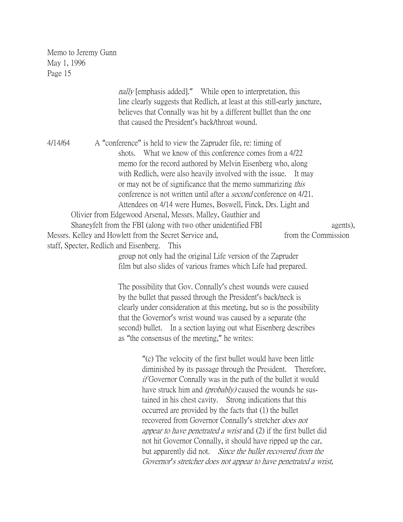|                                                   |        |                                                                 | <i>nally</i> [emphasis added]." While open to interpretation, this<br>line clearly suggests that Redlich, at least at this still-early juncture,<br>believes that Connally was hit by a different bullet than the one<br>that caused the President's back/throat wound.                                                                                                                                                                                                                                                                                                                                                                                                                                                                   |                               |          |
|---------------------------------------------------|--------|-----------------------------------------------------------------|-------------------------------------------------------------------------------------------------------------------------------------------------------------------------------------------------------------------------------------------------------------------------------------------------------------------------------------------------------------------------------------------------------------------------------------------------------------------------------------------------------------------------------------------------------------------------------------------------------------------------------------------------------------------------------------------------------------------------------------------|-------------------------------|----------|
| 4/14/64<br>staff, Specter, Redlich and Eisenberg. | shots. | Messrs. Kelley and Howlett from the Secret Service and,<br>This | A "conference" is held to view the Zapruder file, re: timing of<br>What we know of this conference comes from a 4/22<br>memo for the record authored by Melvin Eisenberg who, along<br>with Redlich, were also heavily involved with the issue.<br>or may not be of significance that the memo summarizing this<br>conference is not written until after a <i>second</i> conference on 4/21.<br>Attendees on 4/14 were Humes, Boswell, Finck, Drs. Light and<br>Olivier from Edgewood Arsenal, Messrs. Malley, Gauthier and<br>Shaneyfelt from the FBI (along with two other unidentified FBI                                                                                                                                             | It may<br>from the Commission | agents), |
|                                                   |        |                                                                 | group not only had the original Life version of the Zapruder<br>film but also slides of various frames which Life had prepared.<br>The possibility that Gov. Connally's chest wounds were caused<br>by the bullet that passed through the President's back/neck is<br>clearly under consideration at this meeting, but so is the possibility<br>that the Governor's wrist wound was caused by a separate (the<br>second) bullet. In a section laying out what Eisenberg describes<br>as "the consensus of the meeting," he writes:                                                                                                                                                                                                        |                               |          |
|                                                   |        |                                                                 | "(c) The velocity of the first bullet would have been little<br>diminished by its passage through the President. Therefore,<br><i>if</i> Governor Connally was in the path of the bullet it would<br>have struck him and <i>(probably)</i> caused the wounds he sus-<br>tained in his chest cavity. Strong indications that this<br>occurred are provided by the facts that (1) the bullet<br>recovered from Governor Connally's stretcher <i>does not</i><br><i>appear to have penetrated a wrist</i> and (2) if the first bullet did<br>not hit Governor Connally, it should have ripped up the car,<br>but apparently did not. Since the bullet recovered from the<br>Governor's stretcher does not appear to have penetrated a wrist, |                               |          |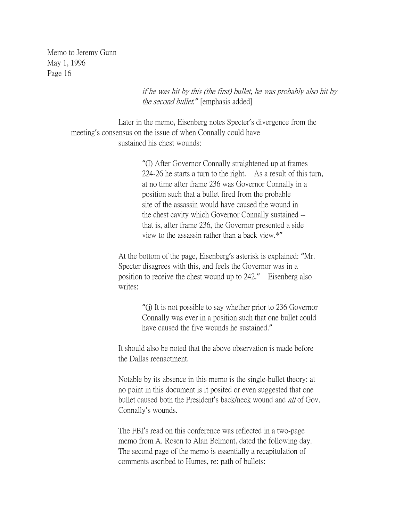> if he was hit by this (the first) bullet, he was probably also hit by the second bullet.*"* [emphasis added]

Later in the memo, Eisenberg notes Specter's divergence from the meeting's consensus on the issue of when Connally could have sustained his chest wounds:

> "(I) After Governor Connally straightened up at frames 224-26 he starts a turn to the right. As a result of this turn, at no time after frame 236 was Governor Connally in a position such that a bullet fired from the probable site of the assassin would have caused the wound in the chest cavity which Governor Connally sustained - that is, after frame 236, the Governor presented a side view to the assassin rather than a back view.\*"

At the bottom of the page, Eisenberg's asterisk is explained: "Mr. Specter disagrees with this, and feels the Governor was in a position to receive the chest wound up to 242." Eisenberg also writes:

> "(j) It is not possible to say whether prior to 236 Governor Connally was ever in a position such that one bullet could have caused the five wounds he sustained."

It should also be noted that the above observation is made before the Dallas reenactment.

Notable by its absence in this memo is the single-bullet theory: at no point in this document is it posited or even suggested that one bullet caused both the President's back/neck wound and all of Gov. Connally's wounds.

The FBI's read on this conference was reflected in a two-page memo from A. Rosen to Alan Belmont, dated the following day. The second page of the memo is essentially a recapitulation of comments ascribed to Humes, re: path of bullets: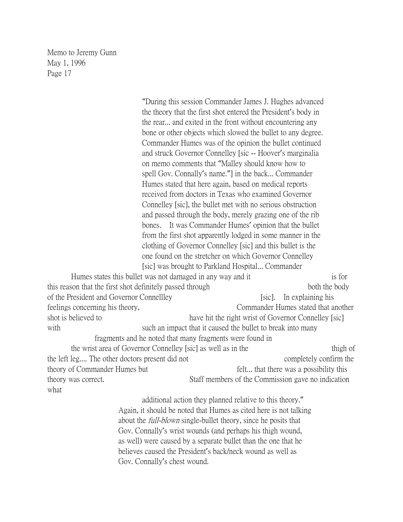"During this session Commander James J. Hughes advanced the theory that the first shot entered the President's body in the rear... and exited in the front without encountering any bone or other objects which slowed the bullet to any degree. Commander Humes was of the opinion the bullet continued and struck Governor Connelley [sic -- Hoover's marginalia on memo comments that "Malley should know how to spell Gov. Connally's name."] in the back... Commander Humes stated that here again, based on medical reports received from doctors in Texas who examined Governor Connelley [sic], the bullet met with no serious obstruction and passed through the body, merely grazing one of the rib bones. It was Commander Humes' opinion that the bullet from the first shot apparently lodged in some manner in the clothing of Governor Connelley [sic] and this bullet is the one found on the stretcher on which Governor Connelley [sic] was brought to Parkland Hospital... Commander Humes states this bullet was not damaged in any way and it is for is for this reason that the first shot definitely passed through both both the body of the President and Governor Connellley [sic]. In explaining his feelings concerning his theory, Commander Humes stated that another shot is believed to have hit the right wrist of Governor Connelley [sic] with such an impact that it caused the bullet to break into many fragments and he noted that many fragments were found in the wrist area of Governor Connelley [sic] as well as in the thigh of thigh of the left leg.... The other doctors present did not completely confirm the theory of Commander Humes but felt... that there was a possibility this theory was correct. Staff members of the Commission gave no indication what

additional action they planned relative to this theory." Again, it should be noted that Humes as cited here is not talking about the *full-blown* single-bullet theory, since he posits that Gov. Connally's wrist wounds (and perhaps his thigh wound, as well) were caused by a separate bullet than the one that he believes caused the President's back/neck wound as well as Gov. Connally's chest wound.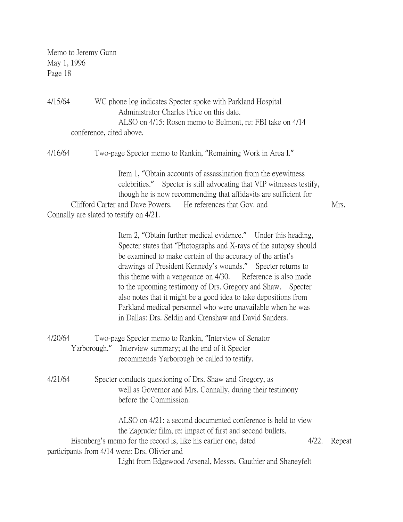4/15/64 WC phone log indicates Specter spoke with Parkland Hospital Administrator Charles Price on this date. ALSO on 4/15: Rosen memo to Belmont, re: FBI take on 4/14 conference, cited above.

4/16/64 Two-page Specter memo to Rankin, "Remaining Work in Area I."

Item 1, "Obtain accounts of assassination from the eyewitness celebrities." Specter is still advocating that VIP witnesses testify, though he is now recommending that affidavits are sufficient for Clifford Carter and Dave Powers. He references that Gov. and Mrs.

Connally are slated to testify on 4/21.

Item 2, "Obtain further medical evidence." Under this heading, Specter states that "Photographs and X-rays of the autopsy should be examined to make certain of the accuracy of the artist's drawings of President Kennedy's wounds." Specter returns to this theme with a vengeance on 4/30. Reference is also made to the upcoming testimony of Drs. Gregory and Shaw. Specter also notes that it might be a good idea to take depositions from Parkland medical personnel who were unavailable when he was in Dallas: Drs. Seldin and Crenshaw and David Sanders.

| 4/20/64 | Two-page Specter memo to Rankin, "Interview of Senator"  |
|---------|----------------------------------------------------------|
|         | Yarborough." Interview summary; at the end of it Specter |
|         | recommends Yarborough be called to testify.              |

4/21/64 Specter conducts questioning of Drs. Shaw and Gregory, as well as Governor and Mrs. Connally, during their testimony before the Commission.

ALSO on 4/21: a second documented conference is held to view the Zapruder film, re: impact of first and second bullets. Eisenberg's memo for the record is, like his earlier one, dated 4/22. Repeat participants from 4/14 were: Drs. Olivier and Light from Edgewood Arsenal, Messrs. Gauthier and Shaneyfelt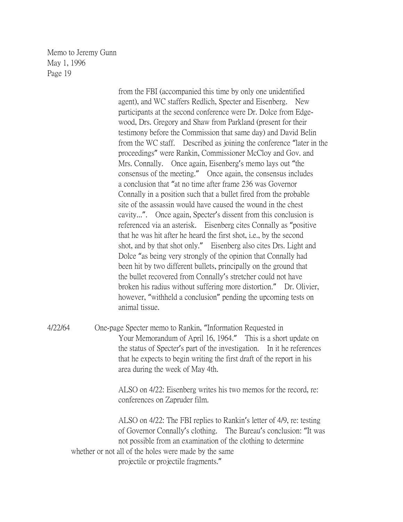> from the FBI (accompanied this time by only one unidentified agent), and WC staffers Redlich, Specter and Eisenberg. New participants at the second conference were Dr. Dolce from Edgewood, Drs. Gregory and Shaw from Parkland (present for their testimony before the Commission that same day) and David Belin from the WC staff. Described as joining the conference "later in the proceedings" were Rankin, Commissioner McCloy and Gov. and Mrs. Connally. Once again, Eisenberg's memo lays out "the consensus of the meeting." Once again, the consensus includes a conclusion that "at no time after frame 236 was Governor Connally in a position such that a bullet fired from the probable site of the assassin would have caused the wound in the chest cavity...". Once again, Specter's dissent from this conclusion is referenced via an asterisk. Eisenberg cites Connally as "positive that he was hit after he heard the first shot, i.e., by the second shot, and by that shot only." Eisenberg also cites Drs. Light and Dolce "as being very strongly of the opinion that Connally had been hit by two different bullets, principally on the ground that the bullet recovered from Connally's stretcher could not have broken his radius without suffering more distortion." Dr. Olivier, however, "withheld a conclusion" pending the upcoming tests on animal tissue.

4/22/64 One-page Specter memo to Rankin, "Information Requested in Your Memorandum of April 16, 1964." This is a short update on the status of Specter's part of the investigation. In it he references that he expects to begin writing the first draft of the report in his area during the week of May 4th.

> ALSO on 4/22: Eisenberg writes his two memos for the record, re: conferences on Zapruder film.

ALSO on 4/22: The FBI replies to Rankin's letter of 4/9, re: testing of Governor Connally's clothing. The Bureau's conclusion: "It was not possible from an examination of the clothing to determine whether or not all of the holes were made by the same projectile or projectile fragments."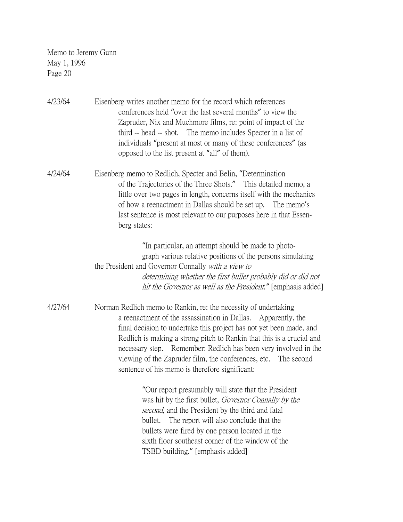4/23/64 Eisenberg writes another memo for the record which references conferences held "over the last several months" to view the Zapruder, Nix and Muchmore films, re: point of impact of the third -- head -- shot. The memo includes Specter in a list of individuals "present at most or many of these conferences" (as opposed to the list present at "all" of them).

4/24/64 Eisenberg memo to Redlich, Specter and Belin, "Determination of the Trajectories of the Three Shots." This detailed memo, a little over two pages in length, concerns itself with the mechanics of how a reenactment in Dallas should be set up. The memo's last sentence is most relevant to our purposes here in that Essenberg states:

> "In particular, an attempt should be made to photograph various relative positions of the persons simulating the President and Governor Connally with a view to determining whether the first bullet probably did or did not hit the Governor as well as the President.*"* [emphasis added]

4/27/64 Norman Redlich memo to Rankin, re: the necessity of undertaking a reenactment of the assassination in Dallas. Apparently, the final decision to undertake this project has not yet been made, and Redlich is making a strong pitch to Rankin that this is a crucial and necessary step. Remember: Redlich has been very involved in the viewing of the Zapruder film, the conferences, etc. The second sentence of his memo is therefore significant:

> "Our report presumably will state that the President was hit by the first bullet, Governor Connally by the second, and the President by the third and fatal bullet. The report will also conclude that the bullets were fired by one person located in the sixth floor southeast corner of the window of the TSBD building." [emphasis added]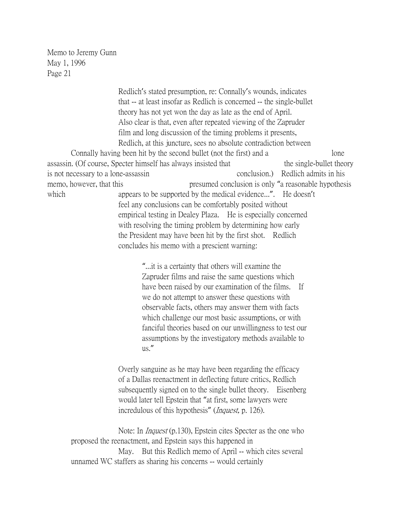Redlich's stated presumption, re: Connally's wounds, indicates that -- at least insofar as Redlich is concerned -- the single-bullet theory has not yet won the day as late as the end of April. Also clear is that, even after repeated viewing of the Zapruder film and long discussion of the timing problems it presents, Redlich, at this juncture, sees no absolute contradiction between Connally having been hit by the second bullet (not the first) and a lone assassin. (Of course, Specter himself has always insisted that the single-bullet theory is not necessary to a lone-assassin conclusion.) Redlich admits in his memo, however, that this presumed conclusion is only "a reasonable hypothesis which appears to be supported by the medical evidence...". He doesn't feel any conclusions can be comfortably posited without empirical testing in Dealey Plaza. He is especially concerned with resolving the timing problem by determining how early the President may have been hit by the first shot. Redlich concludes his memo with a prescient warning: "...it is a certainty that others will examine the Zapruder films and raise the same questions which have been raised by our examination of the films. If we do not attempt to answer these questions with observable facts, others may answer them with facts which challenge our most basic assumptions, or with fanciful theories based on our unwillingness to test our assumptions by the investigatory methods available to us." Overly sanguine as he may have been regarding the efficacy of a Dallas reenactment in deflecting future critics, Redlich subsequently signed on to the single bullet theory. Eisenberg would later tell Epstein that "at first, some lawyers were incredulous of this hypothesis" (*Inquest*, p. 126). Note: In Inquest (p.130), Epstein cites Specter as the one who proposed the reenactment, and Epstein says this happened in May. But this Redlich memo of April -- which cites several unnamed WC staffers as sharing his concerns -- would certainly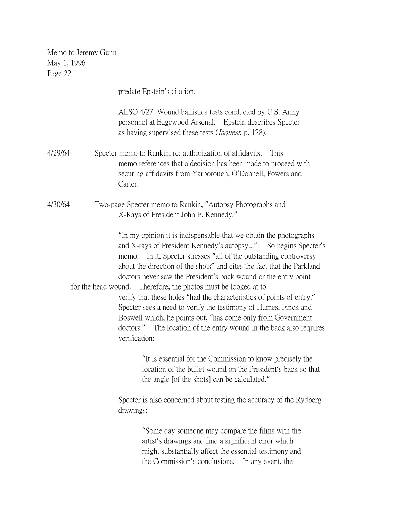predate Epstein's citation. ALSO 4/27: Wound ballistics tests conducted by U.S. Army personnel at Edgewood Arsenal. Epstein describes Specter as having supervised these tests (Inquest, p. 128). 4/29/64 Specter memo to Rankin, re: authorization of affidavits. This memo references that a decision has been made to proceed with securing affidavits from Yarborough, O'Donnell, Powers and Carter. 4/30/64 Two-page Specter memo to Rankin, "Autopsy Photographs and X-Rays of President John F. Kennedy." "In my opinion it is indispensable that we obtain the photographs and X-rays of President Kennedy's autopsy...". So begins Specter's memo. In it, Specter stresses "all of the outstanding controversy about the direction of the shots" and cites the fact that the Parkland doctors never saw the President's back wound or the entry point for the head wound. Therefore, the photos must be looked at to verify that these holes "had the characteristics of points of entry." Specter sees a need to verify the testimony of Humes, Finck and Boswell which, he points out, "has come only from Government doctors." The location of the entry wound in the back also requires verification: "It is essential for the Commission to know precisely the location of the bullet wound on the President's back so that the angle [of the shots] can be calculated." Specter is also concerned about testing the accuracy of the Rydberg drawings: "Some day someone may compare the films with the artist's drawings and find a significant error which might substantially affect the essential testimony and the Commission's conclusions. In any event, the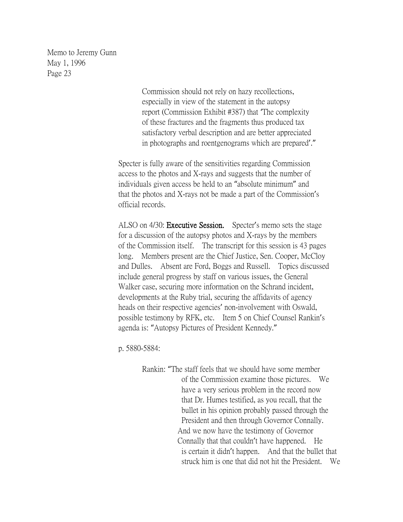> Commission should not rely on hazy recollections, especially in view of the statement in the autopsy report (Commission Exhibit #387) that 'The complexity of these fractures and the fragments thus produced tax satisfactory verbal description and are better appreciated in photographs and roentgenograms which are prepared'."

Specter is fully aware of the sensitivities regarding Commission access to the photos and X-rays and suggests that the number of individuals given access be held to an "absolute minimum" and that the photos and X-rays not be made a part of the Commission's official records.

ALSO on 4/30: Executive Session. Specter's memo sets the stage for a discussion of the autopsy photos and X-rays by the members of the Commission itself. The transcript for this session is 43 pages long. Members present are the Chief Justice, Sen. Cooper, McCloy and Dulles. Absent are Ford, Boggs and Russell. Topics discussed include general progress by staff on various issues, the General Walker case, securing more information on the Schrand incident, developments at the Ruby trial, securing the affidavits of agency heads on their respective agencies' non-involvement with Oswald, possible testimony by RFK, etc. Item 5 on Chief Counsel Rankin's agenda is: "Autopsy Pictures of President Kennedy."

p. 5880-5884:

Rankin: "The staff feels that we should have some member of the Commission examine those pictures. We have a very serious problem in the record now that Dr. Humes testified, as you recall, that the bullet in his opinion probably passed through the President and then through Governor Connally. And we now have the testimony of Governor Connally that that couldn't have happened. He is certain it didn't happen. And that the bullet that struck him is one that did not hit the President. We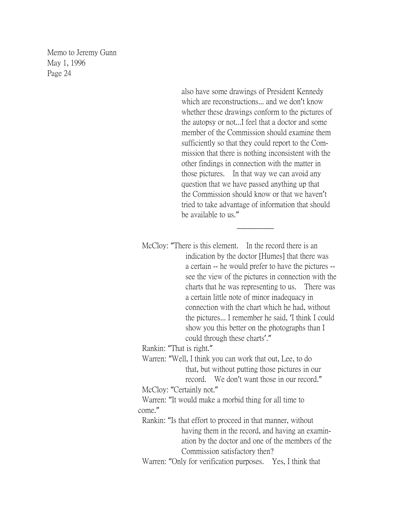> also have some drawings of President Kennedy which are reconstructions... and we don't know whether these drawings conform to the pictures of the autopsy or not...I feel that a doctor and some member of the Commission should examine them sufficiently so that they could report to the Com mission that there is nothing inconsistent with the other findings in connection with the matter in those pictures. In that way we can avoid any question that we have passed anything up that the Commission should know or that we haven't tried to take advantage of information that should be available to us."

> > $\overline{\phantom{a}}$

McCloy: "There is this element. In the record there is an indication by the doctor [Humes] that there was a certain -- he would prefer to have the pictures - see the view of the pictures in connection with the charts that he was representing to us. There was a certain little note of minor inadequacy in connection with the chart which he had, without the pictures... I remember he said, 'I think I could show you this better on the photographs than I could through these charts'." Rankin: "That is right." Warren: "Well, I think you can work that out, Lee, to do that, but without putting those pictures in our record. We don't want those in our record." McCloy: "Certainly not." Warren: "It would make a morbid thing for all time to come." Rankin: "Is that effort to proceed in that manner, without having them in the record, and having an examin ation by the doctor and one of the members of the Commission satisfactory then? Warren: "Only for verification purposes. Yes, I think that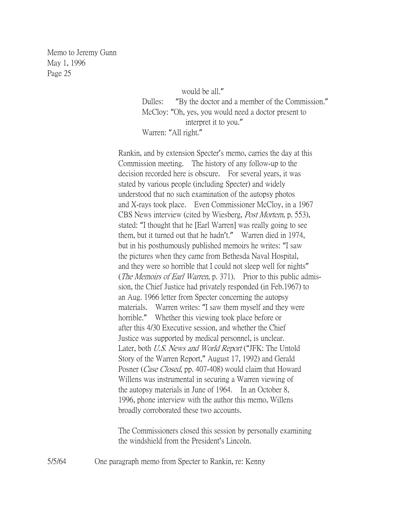> would be all." Dulles: "By the doctor and a member of the Commission." McCloy: "Oh, yes, you would need a doctor present to interpret it to you." Warren: "All right."

Rankin, and by extension Specter's memo, carries the day at this Commission meeting. The history of any follow-up to the decision recorded here is obscure. For several years, it was stated by various people (including Specter) and widely understood that no such examination of the autopsy photos and X-rays took place. Even Commissioner McCloy, in a 1967 CBS News interview (cited by Wiesberg, Post Mortem, p. 553), stated: "I thought that he [Earl Warren] was really going to see them, but it turned out that he hadn't." Warren died in 1974, but in his posthumously published memoirs he writes: "I saw the pictures when they came from Bethesda Naval Hospital, and they were so horrible that I could not sleep well for nights" (*The Memoirs of Earl Warren*, p. 371). Prior to this public admission, the Chief Justice had privately responded (in Feb.1967) to an Aug. 1966 letter from Specter concerning the autopsy materials. Warren writes: "I saw them myself and they were horrible." Whether this viewing took place before or after this 4/30 Executive session, and whether the Chief Justice was supported by medical personnel, is unclear. Later, both U.S. News and World Report ("JFK: The Untold Story of the Warren Report," August 17, 1992) and Gerald Posner (*Case Closed*, pp. 407-408) would claim that Howard Willens was instrumental in securing a Warren viewing of the autopsy materials in June of 1964. In an October 8, 1996, phone interview with the author this memo, Willens broadly corroborated these two accounts.

The Commissioners closed this session by personally examining the windshield from the President's Lincoln.

5/5/64 One paragraph memo from Specter to Rankin, re: Kenny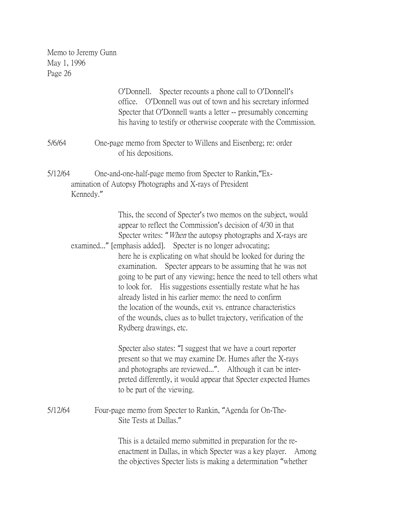|         |           | O'Donnell. Specter recounts a phone call to O'Donnell's<br>office. O'Donnell was out of town and his secretary informed<br>Specter that O'Donnell wants a letter -- presumably concerning<br>his having to testify or otherwise cooperate with the Commission.                                                                                                                                                                                                                                                                                                                                                                                                                                                                                                             |
|---------|-----------|----------------------------------------------------------------------------------------------------------------------------------------------------------------------------------------------------------------------------------------------------------------------------------------------------------------------------------------------------------------------------------------------------------------------------------------------------------------------------------------------------------------------------------------------------------------------------------------------------------------------------------------------------------------------------------------------------------------------------------------------------------------------------|
| 5/6/64  |           | One-page memo from Specter to Willens and Eisenberg; re: order<br>of his depositions.                                                                                                                                                                                                                                                                                                                                                                                                                                                                                                                                                                                                                                                                                      |
| 5/12/64 | Kennedy." | One-and-one-half-page memo from Specter to Rankin, "Ex-<br>amination of Autopsy Photographs and X-rays of President                                                                                                                                                                                                                                                                                                                                                                                                                                                                                                                                                                                                                                                        |
|         |           | This, the second of Specter's two memos on the subject, would<br>appear to reflect the Commission's decision of 4/30 in that<br>Specter writes: " <i>When</i> the autopsy photographs and X-rays are<br>examined" [emphasis added]. Specter is no longer advocating;<br>here he is explicating on what should be looked for during the<br>examination.<br>Specter appears to be assuming that he was not<br>going to be part of any viewing; hence the need to tell others what<br>to look for. His suggestions essentially restate what he has<br>already listed in his earlier memo: the need to confirm<br>the location of the wounds, exit vs. entrance characteristics<br>of the wounds, clues as to bullet trajectory, verification of the<br>Rydberg drawings, etc. |
|         |           | Specter also states: "I suggest that we have a court reporter<br>present so that we may examine Dr. Humes after the X-rays<br>and photographs are reviewed". Although it can be inter-<br>preted differently, it would appear that Specter expected Humes<br>to be part of the viewing.                                                                                                                                                                                                                                                                                                                                                                                                                                                                                    |
| 5/12/64 |           | Four-page memo from Specter to Rankin, "Agenda for On-The-<br>Site Tests at Dallas."                                                                                                                                                                                                                                                                                                                                                                                                                                                                                                                                                                                                                                                                                       |
|         |           | This is a detailed memo submitted in preparation for the re-<br>enactment in Dallas, in which Specter was a key player.<br>Among<br>the objectives Specter lists is making a determination "whether                                                                                                                                                                                                                                                                                                                                                                                                                                                                                                                                                                        |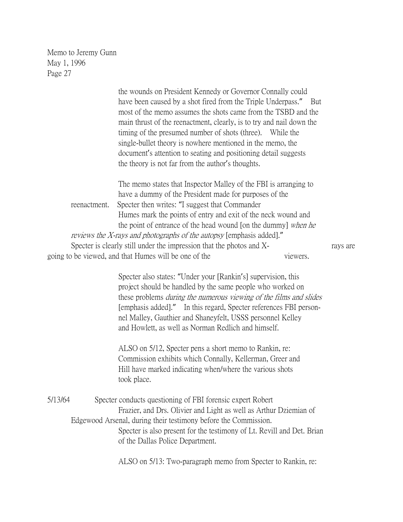|              | the wounds on President Kennedy or Governor Connally could                  |          |          |
|--------------|-----------------------------------------------------------------------------|----------|----------|
|              | have been caused by a shot fired from the Triple Underpass." But            |          |          |
|              | most of the memo assumes the shots came from the TSBD and the               |          |          |
|              | main thrust of the reenactment, clearly, is to try and nail down the        |          |          |
|              | timing of the presumed number of shots (three). While the                   |          |          |
|              | single-bullet theory is nowhere mentioned in the memo, the                  |          |          |
|              | document's attention to seating and positioning detail suggests             |          |          |
|              | the theory is not far from the author's thoughts.                           |          |          |
|              |                                                                             |          |          |
|              | The memo states that Inspector Malley of the FBI is arranging to            |          |          |
|              | have a dummy of the President made for purposes of the                      |          |          |
| reenactment. | Specter then writes: "I suggest that Commander                              |          |          |
|              | Humes mark the points of entry and exit of the neck wound and               |          |          |
|              | the point of entrance of the head wound [on the dummy] when he              |          |          |
|              | <i>reviews the X-rays and photographs of the autopsy</i> [emphasis added]." |          |          |
|              | Specter is clearly still under the impression that the photos and X-        |          | rays are |
|              | going to be viewed, and that Humes will be one of the                       | viewers. |          |
|              |                                                                             |          |          |
|              |                                                                             |          |          |

Specter also states: "Under your [Rankin's] supervision, this project should be handled by the same people who worked on these problems during the numerous viewing of the films and slides [emphasis added]." In this regard, Specter references FBI personnel Malley, Gauthier and Shaneyfelt, USSS personnel Kelley and Howlett, as well as Norman Redlich and himself.

ALSO on 5/12, Specter pens a short memo to Rankin, re: Commission exhibits which Connally, Kellerman, Greer and Hill have marked indicating when/where the various shots took place.

5/13/64 Specter conducts questioning of FBI forensic expert Robert Frazier, and Drs. Olivier and Light as well as Arthur Dziemian of Edgewood Arsenal, during their testimony before the Commission. Specter is also present for the testimony of Lt. Revill and Det. Brian of the Dallas Police Department.

ALSO on 5/13: Two-paragraph memo from Specter to Rankin, re: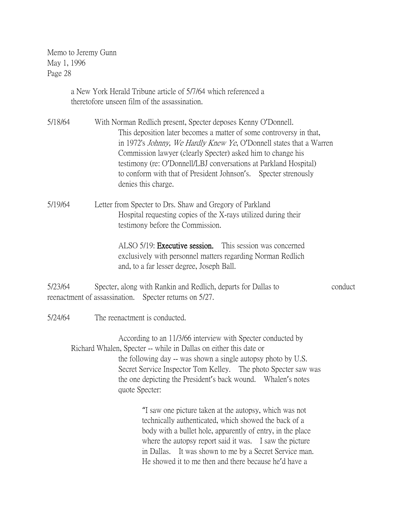> a New York Herald Tribune article of 5/7/64 which referenced a theretofore unseen film of the assassination.

5/18/64 With Norman Redlich present, Specter deposes Kenny O'Donnell. This deposition later becomes a matter of some controversy in that, in 1972's Johnny, We Hardly Knew Ye, O'Donnell states that a Warren Commission lawyer (clearly Specter) asked him to change his testimony (re: O'Donnell/LBJ conversations at Parkland Hospital) to conform with that of President Johnson's. Specter strenously denies this charge.

5/19/64 Letter from Specter to Drs. Shaw and Gregory of Parkland Hospital requesting copies of the X-rays utilized during their testimony before the Commission.

> ALSO 5/19: Executive session. This session was concerned exclusively with personnel matters regarding Norman Redlich and, to a far lesser degree, Joseph Ball.

5/23/64 Specter, along with Rankin and Redlich, departs for Dallas to conduct reenactment of assassination. Specter returns on 5/27.

5/24/64 The reenactment is conducted.

According to an 11/3/66 interview with Specter conducted by Richard Whalen, Specter -- while in Dallas on either this date or the following day -- was shown a single autopsy photo by U.S. Secret Service Inspector Tom Kelley. The photo Specter saw was the one depicting the President's back wound. Whalen's notes quote Specter:

> "I saw one picture taken at the autopsy, which was not technically authenticated, which showed the back of a body with a bullet hole, apparently of entry, in the place where the autopsy report said it was. I saw the picture in Dallas. It was shown to me by a Secret Service man. He showed it to me then and there because he'd have a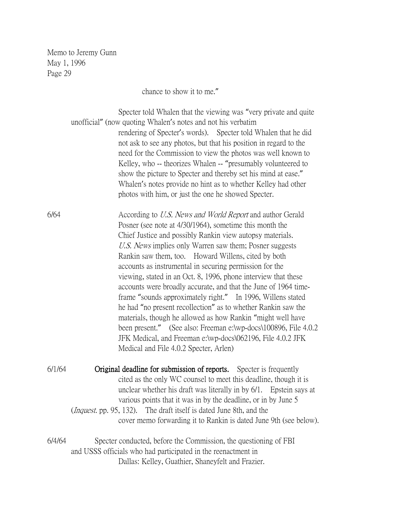chance to show it to me."

Specter told Whalen that the viewing was "very private and quite unofficial" (now quoting Whalen's notes and not his verbatim rendering of Specter's words). Specter told Whalen that he did not ask to see any photos, but that his position in regard to the need for the Commission to view the photos was well known to Kelley, who -- theorizes Whalen -- "presumably volunteered to show the picture to Specter and thereby set his mind at ease." Whalen's notes provide no hint as to whether Kelley had other photos with him, or just the one he showed Specter.

6/64 According to U.S. News and World Report and author Gerald Posner (see note at 4/30/1964), sometime this month the Chief Justice and possibly Rankin view autopsy materials. U.S. News implies only Warren saw them; Posner suggests Rankin saw them, too. Howard Willens, cited by both accounts as instrumental in securing permission for the viewing, stated in an Oct. 8, 1996, phone interview that these accounts were broadly accurate, and that the June of 1964 timeframe "sounds approximately right." In 1996, Willens stated he had "no present recollection" as to whether Rankin saw the materials, though he allowed as how Rankin "might well have been present." (See also: Freeman e:\wp-docs\100896, File 4.0.2 JFK Medical, and Freeman e:\wp-docs\062196, File 4.0.2 JFK Medical and File 4.0.2 Specter, Arlen)

6/1/64 Original deadline for submission of reports. Specter is frequently cited as the only WC counsel to meet this deadline, though it is unclear whether his draft was literally in by 6/1. Epstein says at various points that it was in by the deadline, or in by June 5 (*Inquest.* pp. 95, 132). The draft itself is dated June 8th, and the cover memo forwarding it to Rankin is dated June 9th (see below).

6/4/64 Specter conducted, before the Commission, the questioning of FBI and USSS officials who had participated in the reenactment in Dallas: Kelley, Guathier, Shaneyfelt and Frazier.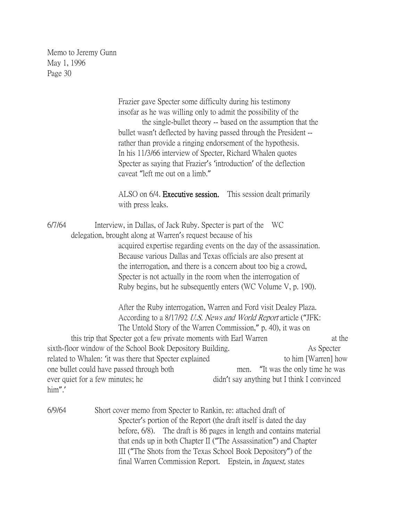> Frazier gave Specter some difficulty during his testimony insofar as he was willing only to admit the possibility of the

 the single-bullet theory -- based on the assumption that the bullet wasn't deflected by having passed through the President - rather than provide a ringing endorsement of the hypothesis. In his 11/3/66 interview of Specter, Richard Whalen quotes Specter as saying that Frazier's 'introduction' of the deflection caveat "left me out on a limb."

ALSO on 6/4. **Executive session.** This session dealt primarily with press leaks.

6/7/64 Interview, in Dallas, of Jack Ruby. Specter is part of the WC delegation, brought along at Warren's request because of his acquired expertise regarding events on the day of the assassination. Because various Dallas and Texas officials are also present at the interrogation, and there is a concern about too big a crowd, Specter is not actually in the room when the interrogation of Ruby begins, but he subsequently enters (WC Volume V, p. 190).

> After the Ruby interrogation, Warren and Ford visit Dealey Plaza. According to a 8/17/92 U.S. News and World Report article ("JFK: The Untold Story of the Warren Commission," p. 40), it was on

this trip that Specter got a few private moments with Earl Warren at the sixth-floor window of the School Book Depository Building. As Specter related to Whalen: 'it was there that Specter explained to him [Warren] how one bullet could have passed through both men. "It was the only time he was ever quiet for a few minutes; he didn't say anything but I think I convinced him".'

6/9/64 Short cover memo from Specter to Rankin, re: attached draft of Specter's portion of the Report (the draft itself is dated the day before, 6/8). The draft is 86 pages in length and contains material that ends up in both Chapter II ("The Assassination") and Chapter III ("The Shots from the Texas School Book Depository") of the final Warren Commission Report. Epstein, in *Inquest*, states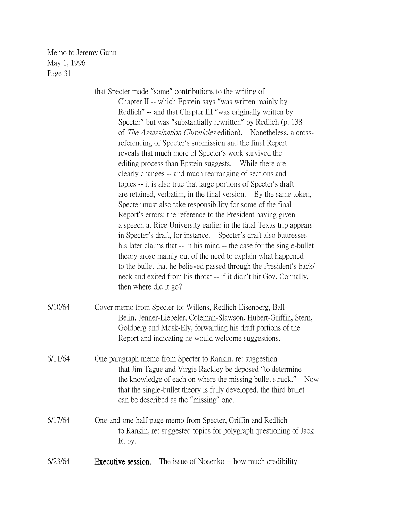|         | that Specter made "some" contributions to the writing of<br>Chapter II -- which Epstein says "was written mainly by<br>Redlich" -- and that Chapter III "was originally written by<br>Specter" but was "substantially rewritten" by Redlich (p. 138)<br>of <i>The Assassination Chronicles</i> edition). Nonetheless, a cross-<br>referencing of Specter's submission and the final Report<br>reveals that much more of Specter's work survived the<br>editing process than Epstein suggests. While there are<br>clearly changes -- and much rearranging of sections and<br>topics -- it is also true that large portions of Specter's draft<br>are retained, verbatim, in the final version. By the same token,<br>Specter must also take responsibility for some of the final<br>Report's errors: the reference to the President having given<br>a speech at Rice University earlier in the fatal Texas trip appears<br>in Specter's draft, for instance. Specter's draft also buttresses<br>his later claims that -- in his mind -- the case for the single-bullet<br>theory arose mainly out of the need to explain what happened<br>to the bullet that he believed passed through the President's back/<br>neck and exited from his throat -- if it didn't hit Gov. Connally,<br>then where did it go? |
|---------|-------------------------------------------------------------------------------------------------------------------------------------------------------------------------------------------------------------------------------------------------------------------------------------------------------------------------------------------------------------------------------------------------------------------------------------------------------------------------------------------------------------------------------------------------------------------------------------------------------------------------------------------------------------------------------------------------------------------------------------------------------------------------------------------------------------------------------------------------------------------------------------------------------------------------------------------------------------------------------------------------------------------------------------------------------------------------------------------------------------------------------------------------------------------------------------------------------------------------------------------------------------------------------------------------------------|
| 6/10/64 | Cover memo from Specter to: Willens, Redlich-Eisenberg, Ball-<br>Belin, Jenner-Liebeler, Coleman-Slawson, Hubert-Griffin, Stern,<br>Goldberg and Mosk-Ely, forwarding his draft portions of the<br>Report and indicating he would welcome suggestions.                                                                                                                                                                                                                                                                                                                                                                                                                                                                                                                                                                                                                                                                                                                                                                                                                                                                                                                                                                                                                                                      |
| 6/11/64 | One paragraph memo from Specter to Rankin, re: suggestion<br>that Jim Tague and Virgie Rackley be deposed "to determine<br>the knowledge of each on where the missing bullet struck." Now<br>that the single-bullet theory is fully developed, the third bullet<br>can be described as the "missing" one.                                                                                                                                                                                                                                                                                                                                                                                                                                                                                                                                                                                                                                                                                                                                                                                                                                                                                                                                                                                                   |
| 6/17/64 | One-and-one-half page memo from Specter, Griffin and Redlich<br>to Rankin, re: suggested topics for polygraph questioning of Jack<br>Ruby.                                                                                                                                                                                                                                                                                                                                                                                                                                                                                                                                                                                                                                                                                                                                                                                                                                                                                                                                                                                                                                                                                                                                                                  |
| 6/23/64 | The issue of Nosenko -- how much credibility<br>Executive session.                                                                                                                                                                                                                                                                                                                                                                                                                                                                                                                                                                                                                                                                                                                                                                                                                                                                                                                                                                                                                                                                                                                                                                                                                                          |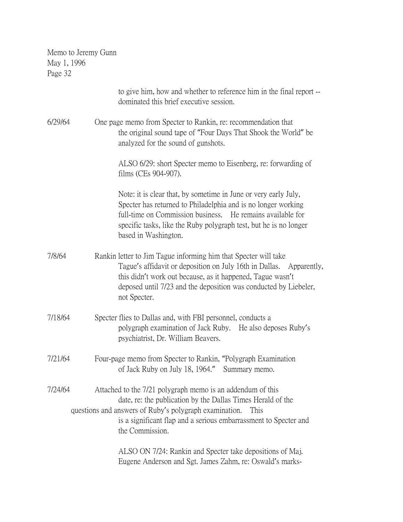| Memo to Jeremy Gunn |
|---------------------|
| May 1, 1996         |
| Page 32             |

|         | to give him, how and whether to reference him in the final report --<br>dominated this brief executive session.                                                                                                                                                                             |
|---------|---------------------------------------------------------------------------------------------------------------------------------------------------------------------------------------------------------------------------------------------------------------------------------------------|
| 6/29/64 | One page memo from Specter to Rankin, re: recommendation that<br>the original sound tape of "Four Days That Shook the World" be<br>analyzed for the sound of gunshots.                                                                                                                      |
|         | ALSO 6/29: short Specter memo to Eisenberg, re: forwarding of<br>films (CEs 904-907).                                                                                                                                                                                                       |
|         | Note: it is clear that, by sometime in June or very early July,<br>Specter has returned to Philadelphia and is no longer working<br>full-time on Commission business. He remains available for<br>specific tasks, like the Ruby polygraph test, but he is no longer<br>based in Washington. |
| 7/8/64  | Rankin letter to Jim Tague informing him that Specter will take<br>Tague's affidavit or deposition on July 16th in Dallas. Apparently,<br>this didn't work out because, as it happened, Tague wasn't<br>deposed until 7/23 and the deposition was conducted by Liebeler,<br>not Specter.    |
| 7/18/64 | Specter flies to Dallas and, with FBI personnel, conducts a<br>polygraph examination of Jack Ruby. He also deposes Ruby's<br>psychiatrist, Dr. William Beavers.                                                                                                                             |
| 7/21/64 | Four-page memo from Specter to Rankin, "Polygraph Examination"<br>of Jack Ruby on July 18, 1964."<br>Summary memo.                                                                                                                                                                          |
| 7/24/64 | Attached to the 7/21 polygraph memo is an addendum of this<br>date, re: the publication by the Dallas Times Herald of the<br>questions and answers of Ruby's polygraph examination.<br>This<br>is a significant flap and a serious embarrassment to Specter and<br>the Commission.          |
|         | ALSO ON 7/24: Rankin and Specter take depositions of Maj.<br>Eugene Anderson and Sgt. James Zahm, re: Oswald's marks-                                                                                                                                                                       |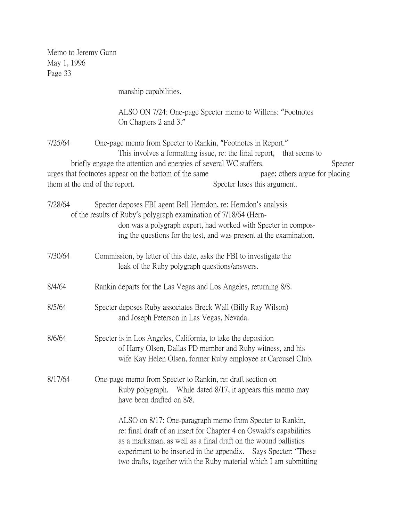manship capabilities.

ALSO ON 7/24: One-page Specter memo to Willens: "Footnotes On Chapters 2 and 3."

7/25/64 One-page memo from Specter to Rankin, "Footnotes in Report." This involves a formatting issue, re: the final report, that seems to briefly engage the attention and energies of several WC staffers. Specter urges that footnotes appear on the bottom of the same page; others argue for placing them at the end of the report. Specter loses this argument.

7/28/64 Specter deposes FBI agent Bell Herndon, re: Herndon's analysis of the results of Ruby's polygraph examination of 7/18/64 (Herndon was a polygraph expert, had worked with Specter in composing the questions for the test, and was present at the examination.

- 7/30/64 Commission, by letter of this date, asks the FBI to investigate the leak of the Ruby polygraph questions/answers.
- 8/4/64 Rankin departs for the Las Vegas and Los Angeles, returning 8/8.
- 8/5/64 Specter deposes Ruby associates Breck Wall (Billy Ray Wilson) and Joseph Peterson in Las Vegas, Nevada.
- 8/6/64 Specter is in Los Angeles, California, to take the deposition of Harry Olsen, Dallas PD member and Ruby witness, and his wife Kay Helen Olsen, former Ruby employee at Carousel Club.
- 8/17/64 One-page memo from Specter to Rankin, re: draft section on Ruby polygraph. While dated 8/17, it appears this memo may have been drafted on 8/8.

ALSO on 8/17: One-paragraph memo from Specter to Rankin, re: final draft of an insert for Chapter 4 on Oswald's capabilities as a marksman, as well as a final draft on the wound ballistics experiment to be inserted in the appendix. Says Specter: "These two drafts, together with the Ruby material which I am submitting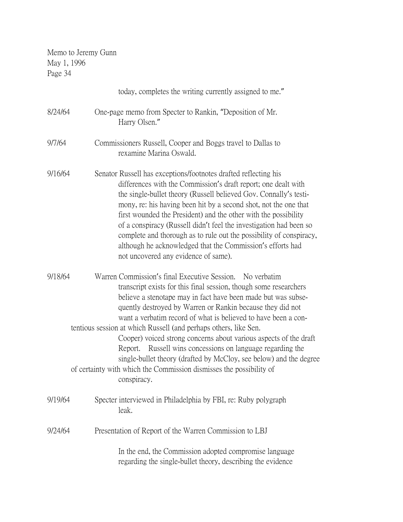| May 1, 1996<br>Page 34 | Memo to Jeremy Gunn                                                                                                                                                                                                                                                                                                                                                                                                                                                                                                                                                                                                                                                                                     |
|------------------------|---------------------------------------------------------------------------------------------------------------------------------------------------------------------------------------------------------------------------------------------------------------------------------------------------------------------------------------------------------------------------------------------------------------------------------------------------------------------------------------------------------------------------------------------------------------------------------------------------------------------------------------------------------------------------------------------------------|
|                        | today, completes the writing currently assigned to me."                                                                                                                                                                                                                                                                                                                                                                                                                                                                                                                                                                                                                                                 |
| 8/24/64                | One-page memo from Specter to Rankin, "Deposition of Mr.<br>Harry Olsen."                                                                                                                                                                                                                                                                                                                                                                                                                                                                                                                                                                                                                               |
| 9/7/64                 | Commissioners Russell, Cooper and Boggs travel to Dallas to<br>rexamine Marina Oswald.                                                                                                                                                                                                                                                                                                                                                                                                                                                                                                                                                                                                                  |
| 9/16/64                | Senator Russell has exceptions/footnotes drafted reflecting his<br>differences with the Commission's draft report; one dealt with<br>the single-bullet theory (Russell believed Gov. Connally's testi-<br>mony, re: his having been hit by a second shot, not the one that<br>first wounded the President) and the other with the possibility<br>of a conspiracy (Russell didn't feel the investigation had been so<br>complete and thorough as to rule out the possibility of conspiracy,<br>although he acknowledged that the Commission's efforts had<br>not uncovered any evidence of same).                                                                                                        |
| 9/18/64                | Warren Commission's final Executive Session.<br>No verbatim<br>transcript exists for this final session, though some researchers<br>believe a stenotape may in fact have been made but was subse-<br>quently destroyed by Warren or Rankin because they did not<br>want a verbatim record of what is believed to have been a con-<br>tentious session at which Russell (and perhaps others, like Sen.<br>Cooper) voiced strong concerns about various aspects of the draft<br>Russell wins concessions on language regarding the<br>Report.<br>single-bullet theory (drafted by McCloy, see below) and the degree<br>of certainty with which the Commission dismisses the possibility of<br>conspiracy. |
| 9/19/64                | Specter interviewed in Philadelphia by FBI, re: Ruby polygraph<br>leak.                                                                                                                                                                                                                                                                                                                                                                                                                                                                                                                                                                                                                                 |
| 9/24/64                | Presentation of Report of the Warren Commission to LBJ                                                                                                                                                                                                                                                                                                                                                                                                                                                                                                                                                                                                                                                  |
|                        | In the end, the Commission adopted compromise language<br>regarding the single-bullet theory, describing the evidence                                                                                                                                                                                                                                                                                                                                                                                                                                                                                                                                                                                   |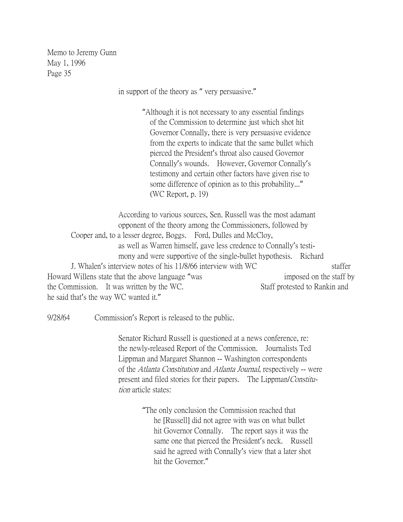in support of the theory as " very persuasive."

"Although it is not necessary to any essential findings of the Commission to determine just which shot hit Governor Connally, there is very persuasive evidence from the experts to indicate that the same bullet which pierced the President's throat also caused Governor Connally's wounds. However, Governor Connally's testimony and certain other factors have given rise to some difference of opinion as to this probability..." (WC Report, p. 19)

According to various sources, Sen. Russell was the most adamant opponent of the theory among the Commissioners, followed by Cooper and, to a lesser degree, Boggs. Ford, Dulles and McCloy, as well as Warren himself, gave less credence to Connally's testimony and were supportive of the single-bullet hypothesis. Richard J. Whalen's interview notes of his 11/8/66 interview with WC staffer Howard Willens state that the above language "was imposed on the staff by the Commission. It was written by the WC. Staff protested to Rankin and he said that's the way WC wanted it."

9/28/64 Commission's Report is released to the public.

Senator Richard Russell is questioned at a news conference, re: the newly-released Report of the Commission. Journalists Ted Lippman and Margaret Shannon -- Washington correspondents of the Atlanta Constitution and Atlanta Journal, respectively -- were present and filed stories for their papers. The Lippman/Constitution article states:

> "The only conclusion the Commission reached that he [Russell] did not agree with was on what bullet hit Governor Connally. The report says it was the same one that pierced the President's neck. Russell said he agreed with Connally's view that a later shot hit the Governor."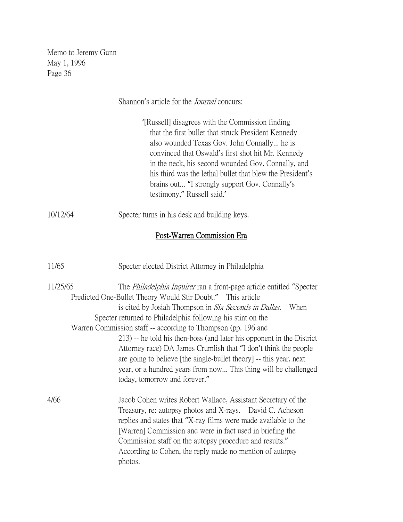Shannon's article for the *Journal* concurs:

'[Russell] disagrees with the Commission finding that the first bullet that struck President Kennedy also wounded Texas Gov. John Connally... he is convinced that Oswald's first shot hit Mr. Kennedy in the neck, his second wounded Gov. Connally, and his third was the lethal bullet that blew the President's brains out... "I strongly support Gov. Connally's testimony," Russell said.'

### 10/12/64 Specter turns in his desk and building keys.

### Post-Warren Commission Era

| 11/65    | Specter elected District Attorney in Philadelphia                                                                                                                                                                                                                                                                                                                                            |
|----------|----------------------------------------------------------------------------------------------------------------------------------------------------------------------------------------------------------------------------------------------------------------------------------------------------------------------------------------------------------------------------------------------|
| 11/25/65 | The <i>Philadelphia Inquirer</i> ran a front-page article entitled "Specter"<br>Predicted One-Bullet Theory Would Stir Doubt." This article                                                                                                                                                                                                                                                  |
|          | is cited by Josiah Thompson in Six Seconds in Dallas.<br>When                                                                                                                                                                                                                                                                                                                                |
|          | Specter returned to Philadelphia following his stint on the                                                                                                                                                                                                                                                                                                                                  |
|          | Warren Commission staff -- according to Thompson (pp. 196 and                                                                                                                                                                                                                                                                                                                                |
|          | 213) -- he told his then-boss (and later his opponent in the District<br>Attorney race) DA James Crumlish that "I don't think the people<br>are going to believe [the single-bullet theory] -- this year, next<br>year, or a hundred years from now This thing will be challenged<br>today, tomorrow and forever."                                                                           |
| 4/66     | Jacob Cohen writes Robert Wallace, Assistant Secretary of the<br>Treasury, re: autopsy photos and X-rays. David C. Acheson<br>replies and states that "X-ray films were made available to the<br>[Warren] Commission and were in fact used in briefing the<br>Commission staff on the autopsy procedure and results."<br>According to Cohen, the reply made no mention of autopsy<br>photos. |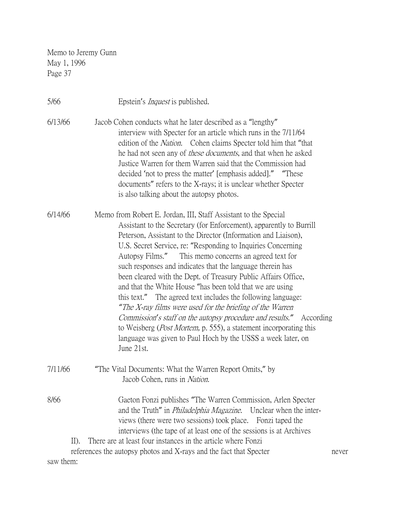| 5/66                         | Epstein's <i>Inquest</i> is published.                                                                                                                                                                                                                                                                                                                                                                                                                                                                                                                                                                                                                                                                                                                                                                                                                                                                    |
|------------------------------|-----------------------------------------------------------------------------------------------------------------------------------------------------------------------------------------------------------------------------------------------------------------------------------------------------------------------------------------------------------------------------------------------------------------------------------------------------------------------------------------------------------------------------------------------------------------------------------------------------------------------------------------------------------------------------------------------------------------------------------------------------------------------------------------------------------------------------------------------------------------------------------------------------------|
| 6/13/66                      | Jacob Cohen conducts what he later described as a "lengthy"<br>interview with Specter for an article which runs in the 7/11/64<br>edition of the <i>Nation</i> . Cohen claims Specter told him that "that<br>he had not seen any of <i>these documents</i> , and that when he asked<br>Justice Warren for them Warren said that the Commission had<br>decided 'not to press the matter' [emphasis added]." "These<br>documents" refers to the X-rays; it is unclear whether Specter<br>is also talking about the autopsy photos.                                                                                                                                                                                                                                                                                                                                                                          |
| 6/14/66                      | Memo from Robert E. Jordan, III, Staff Assistant to the Special<br>Assistant to the Secretary (for Enforcement), apparently to Burrill<br>Peterson, Assistant to the Director (Information and Liaison),<br>U.S. Secret Service, re: "Responding to Inquiries Concerning<br>Autopsy Films."<br>This memo concerns an agreed text for<br>such responses and indicates that the language therein has<br>been cleared with the Dept. of Treasury Public Affairs Office,<br>and that the White House "has been told that we are using<br>this text." The agreed text includes the following language:<br>"The X-ray films were used for the briefing of the Warren<br><i>Commission's staff on the autopsy procedure and results.</i> " According<br>to Weisberg ( <i>Post Mortem</i> , p. 555), a statement incorporating this<br>language was given to Paul Hoch by the USSS a week later, on<br>June 21st. |
| 7/11/66                      | "The Vital Documents: What the Warren Report Omits," by<br>Jacob Cohen, runs in Nation.                                                                                                                                                                                                                                                                                                                                                                                                                                                                                                                                                                                                                                                                                                                                                                                                                   |
| 8/66<br>$II$ ).<br>saw them: | Gaeton Fonzi publishes "The Warren Commission, Arlen Specter<br>and the Truth" in <i>Philadelphia Magazine</i> . Unclear when the inter-<br>views (there were two sessions) took place. Fonzi taped the<br>interviews (the tape of at least one of the sessions is at Archives<br>There are at least four instances in the article where Fonzi<br>references the autopsy photos and X-rays and the fact that Specter<br>never                                                                                                                                                                                                                                                                                                                                                                                                                                                                             |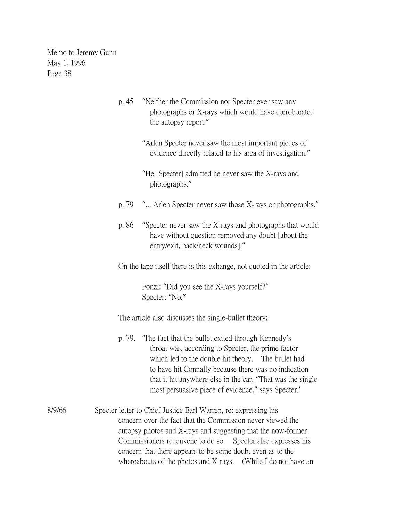- p. 45 "Neither the Commission nor Specter ever saw any photographs or X-rays which would have corroborated the autopsy report."
	- "Arlen Specter never saw the most important pieces of evidence directly related to his area of investigation."
	- "He [Specter] admitted he never saw the X-rays and photographs."
- p. 79 "... Arlen Specter never saw those X-rays or photographs."
- p. 86 "Specter never saw the X-rays and photographs that would have without question removed any doubt [about the entry/exit, back/neck wounds]."
- On the tape itself there is this exhange, not quoted in the article:

Fonzi: "Did you see the X-rays yourself?" Specter: "No."

The article also discusses the single-bullet theory:

- p. 79. 'The fact that the bullet exited through Kennedy's throat was, according to Specter, the prime factor which led to the double hit theory. The bullet had to have hit Connally because there was no indication that it hit anywhere else in the car. "That was the single most persuasive piece of evidence," says Specter.'
- 8/9/66 Specter letter to Chief Justice Earl Warren, re: expressing his concern over the fact that the Commission never viewed the autopsy photos and X-rays and suggesting that the now-former Commissioners reconvene to do so. Specter also expresses his concern that there appears to be some doubt even as to the whereabouts of the photos and X-rays. (While I do not have an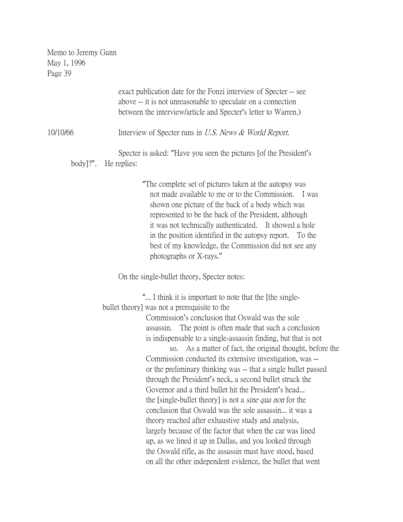|          | exact publication date for the Fonzi interview of Specter -- see<br>above -- it is not unreasonable to speculate on a connection<br>between the interview/article and Specter's letter to Warren.)                                                                                                                                                                                                                                                                                                                                                                                                                                                                                                                                                                                                                                                                                                                                                                                                                                                   |
|----------|------------------------------------------------------------------------------------------------------------------------------------------------------------------------------------------------------------------------------------------------------------------------------------------------------------------------------------------------------------------------------------------------------------------------------------------------------------------------------------------------------------------------------------------------------------------------------------------------------------------------------------------------------------------------------------------------------------------------------------------------------------------------------------------------------------------------------------------------------------------------------------------------------------------------------------------------------------------------------------------------------------------------------------------------------|
| 10/10/66 | Interview of Specter runs in U.S. News & World Report.                                                                                                                                                                                                                                                                                                                                                                                                                                                                                                                                                                                                                                                                                                                                                                                                                                                                                                                                                                                               |
|          | Specter is asked: "Have you seen the pictures [of the President's<br>body]?". He replies:                                                                                                                                                                                                                                                                                                                                                                                                                                                                                                                                                                                                                                                                                                                                                                                                                                                                                                                                                            |
|          | "The complete set of pictures taken at the autopsy was<br>not made available to me or to the Commission. I was<br>shown one picture of the back of a body which was<br>represented to be the back of the President, although<br>it was not technically authenticated. It showed a hole<br>in the position identified in the autopsy report.<br>To the<br>best of my knowledge, the Commission did not see any<br>photographs or X-rays."                                                                                                                                                                                                                                                                                                                                                                                                                                                                                                                                                                                                             |
|          | On the single-bullet theory, Specter notes:                                                                                                                                                                                                                                                                                                                                                                                                                                                                                                                                                                                                                                                                                                                                                                                                                                                                                                                                                                                                          |
|          | " I think it is important to note that the [the single-<br>bullet theory] was not a prerequisite to the<br>Commission's conclusion that Oswald was the sole<br>The point is often made that such a conclusion<br>assassin.<br>is indispensable to a single-assassin finding, but that is not<br>As a matter of fact, the original thought, before the<br>SO.<br>Commission conducted its extensive investigation, was --<br>or the preliminary thinking was -- that a single bullet passed<br>through the President's neck, a second bullet struck the<br>Governor and a third bullet hit the President's head<br>the [single-bullet theory] is not a <i>sine qua non</i> for the<br>conclusion that Oswald was the sole assassin it was a<br>theory reached after exhaustive study and analysis,<br>largely because of the factor that when the car was lined<br>up, as we lined it up in Dallas, and you looked through<br>the Oswald rifle, as the assassin must have stood, based<br>on all the other independent evidence, the bullet that went |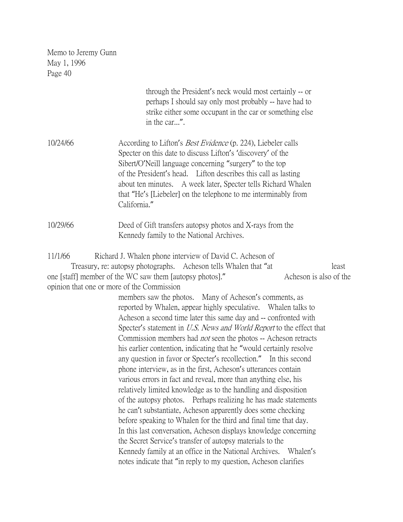| Page 40  |                                                                                                                                                                                                                                                                                                                                                                                                                                                                                                                                                                                                                                                                                                                                                                                                                                                                                                                                                                                                                                                                                                                                                                                                                                                                                                                                                                                                                                                                      |
|----------|----------------------------------------------------------------------------------------------------------------------------------------------------------------------------------------------------------------------------------------------------------------------------------------------------------------------------------------------------------------------------------------------------------------------------------------------------------------------------------------------------------------------------------------------------------------------------------------------------------------------------------------------------------------------------------------------------------------------------------------------------------------------------------------------------------------------------------------------------------------------------------------------------------------------------------------------------------------------------------------------------------------------------------------------------------------------------------------------------------------------------------------------------------------------------------------------------------------------------------------------------------------------------------------------------------------------------------------------------------------------------------------------------------------------------------------------------------------------|
|          | through the President's neck would most certainly -- or<br>perhaps I should say only most probably -- have had to<br>strike either some occupant in the car or something else<br>in the car".                                                                                                                                                                                                                                                                                                                                                                                                                                                                                                                                                                                                                                                                                                                                                                                                                                                                                                                                                                                                                                                                                                                                                                                                                                                                        |
| 10/24/66 | According to Lifton's <i>Best Evidence</i> (p. 224), Liebeler calls<br>Specter on this date to discuss Lifton's 'discovery' of the<br>Sibert/O'Neill language concerning "surgery" to the top<br>of the President's head. Lifton describes this call as lasting<br>about ten minutes. A week later, Specter tells Richard Whalen<br>that "He's [Liebeler] on the telephone to me interminably from<br>California."                                                                                                                                                                                                                                                                                                                                                                                                                                                                                                                                                                                                                                                                                                                                                                                                                                                                                                                                                                                                                                                   |
| 10/29/66 | Deed of Gift transfers autopsy photos and X-rays from the<br>Kennedy family to the National Archives.                                                                                                                                                                                                                                                                                                                                                                                                                                                                                                                                                                                                                                                                                                                                                                                                                                                                                                                                                                                                                                                                                                                                                                                                                                                                                                                                                                |
| 11/1/66  | Richard J. Whalen phone interview of David C. Acheson of<br>Treasury, re: autopsy photographs. Acheson tells Whalen that "at<br>least<br>Acheson is also of the<br>one [staff] member of the WC saw them [autopsy photos]."<br>opinion that one or more of the Commission<br>members saw the photos. Many of Acheson's comments, as<br>reported by Whalen, appear highly speculative. Whalen talks to<br>Acheson a second time later this same day and -- confronted with<br>Specter's statement in <i>U.S. News and World Report</i> to the effect that<br>Commission members had <i>not</i> seen the photos -- Acheson retracts<br>his earlier contention, indicating that he "would certainly resolve<br>any question in favor or Specter's recollection." In this second<br>phone interview, as in the first, Acheson's utterances contain<br>various errors in fact and reveal, more than anything else, his<br>relatively limited knowledge as to the handling and disposition<br>of the autopsy photos. Perhaps realizing he has made statements<br>he can't substantiate, Acheson apparently does some checking<br>before speaking to Whalen for the third and final time that day.<br>In this last conversation, Acheson displays knowledge concerning<br>the Secret Service's transfer of autopsy materials to the<br>Kennedy family at an office in the National Archives.<br>Whalen's<br>notes indicate that "in reply to my question, Acheson clarifies |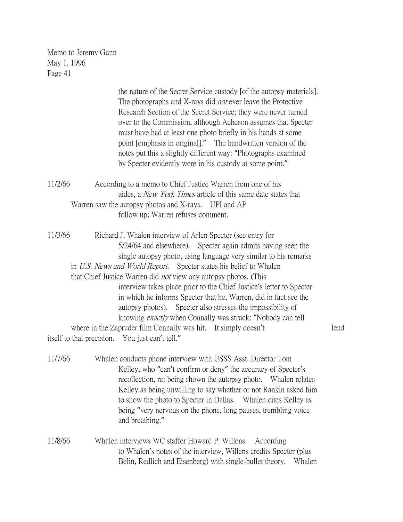|         | the nature of the Secret Service custody [of the autopsy materials].<br>The photographs and X-rays did <i>not</i> ever leave the Protective<br>Research Section of the Secret Service; they were never turned<br>over to the Commission, although Acheson assumes that Specter<br>must have had at least one photo briefly in his hands at some<br>point [emphasis in original]." The handwritten version of the<br>notes put this a slightly different way: "Photographs examined<br>by Specter evidently were in his custody at some point."                                                                                                                                                                                                        |      |
|---------|-------------------------------------------------------------------------------------------------------------------------------------------------------------------------------------------------------------------------------------------------------------------------------------------------------------------------------------------------------------------------------------------------------------------------------------------------------------------------------------------------------------------------------------------------------------------------------------------------------------------------------------------------------------------------------------------------------------------------------------------------------|------|
| 11/2/66 | According to a memo to Chief Justice Warren from one of his<br>aides, a <i>New York Times</i> article of this same date states that<br>Warren saw the autopsy photos and X-rays. UPI and AP<br>follow up; Warren refuses comment.                                                                                                                                                                                                                                                                                                                                                                                                                                                                                                                     |      |
| 11/3/66 | Richard J. Whalen interview of Arlen Specter (see entry for<br>5/24/64 and elsewhere). Specter again admits having seen the<br>single autopsy photo, using language very similar to his remarks<br>in U.S. News and World Report. Specter states his belief to Whalen<br>that Chief Justice Warren did <i>not</i> view any autopsy photos. (This<br>interview takes place prior to the Chief Justice's letter to Specter<br>in which he informs Specter that he, Warren, did in fact see the<br>autopsy photos). Specter also stresses the impossibility of<br>knowing <i>exactly</i> when Connally was struck: "Nobody can tell<br>where in the Zapruder film Connally was hit. It simply doesn't<br>itself to that precision. You just can't tell." | lend |
| 11/7/66 | Whalen conducts phone interview with USSS Asst. Director Tom<br>Kelley, who "can't confirm or deny" the accuracy of Specter's<br>recollection, re: being shown the autopsy photo. Whalen relates<br>Kelley as being unwilling to say whether or not Rankin asked him<br>to show the photo to Specter in Dallas. Whalen cites Kelley as<br>being "very nervous on the phone, long pauses, trembling voice<br>and breathing."                                                                                                                                                                                                                                                                                                                           |      |

11/8/66 Whalen interviews WC staffer Howard P. Willens. According to Whalen's notes of the interview, Willens credits Specter (plus Belin, Redlich and Eisenberg) with single-bullet theory. Whalen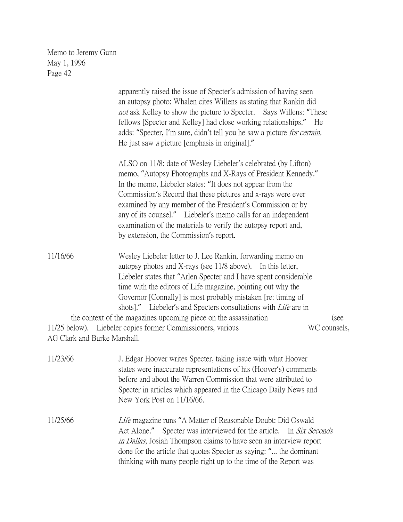apparently raised the issue of Specter's admission of having seen an autopsy photo: Whalen cites Willens as stating that Rankin did not ask Kelley to show the picture to Specter. Says Willens: "These fellows [Specter and Kelley] had close working relationships." He adds: "Specter, I'm sure, didn't tell you he saw a picture for certain. He just saw a picture [emphasis in original]." ALSO on 11/8: date of Wesley Liebeler's celebrated (by Lifton) memo, "Autopsy Photographs and X-Rays of President Kennedy." In the memo, Liebeler states: "It does not appear from the Commission's Record that these pictures and x-rays were ever examined by any member of the President's Commission or by any of its counsel." Liebeler's memo calls for an independent examination of the materials to verify the autopsy report and, by extension, the Commission's report. 11/16/66 Wesley Liebeler letter to J. Lee Rankin, forwarding memo on autopsy photos and X-rays (see 11/8 above). In this letter, Liebeler states that "Arlen Specter and I have spent considerable

time with the editors of Life magazine, pointing out why the Governor [Connally] is most probably mistaken [re: timing of shots]." Liebeler's and Specters consultations with *Life* are in the context of the magazines upcoming piece on the assassination (see 11/25 below). Liebeler copies former Commissioners, various WC counsels, AG Clark and Burke Marshall.

| 11/23/66 | J. Edgar Hoover writes Specter, taking issue with what Hoover<br>states were inaccurate representations of his (Hoover's) comments<br>before and about the Warren Commission that were attributed to<br>Specter in articles which appeared in the Chicago Daily News and<br>New York Post on 11/16/66.                                                      |
|----------|-------------------------------------------------------------------------------------------------------------------------------------------------------------------------------------------------------------------------------------------------------------------------------------------------------------------------------------------------------------|
| 11/25/66 | Life magazine runs "A Matter of Reasonable Doubt: Did Oswald<br>Act Alone." Specter was interviewed for the article. In Six Seconds<br><i>in Dallas</i> , Josiah Thompson claims to have seen an interview report<br>done for the article that quotes Specter as saying: " the dominant<br>thinking with many people right up to the time of the Report was |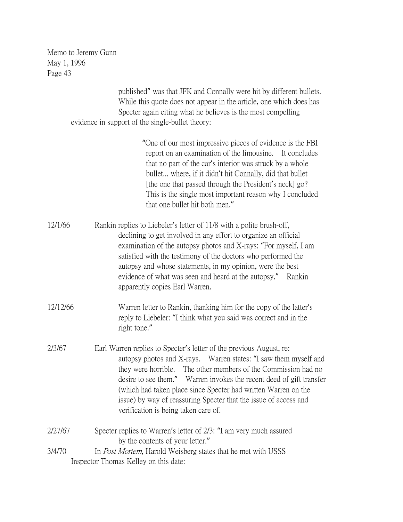> published" was that JFK and Connally were hit by different bullets. While this quote does not appear in the article, one which does has Specter again citing what he believes is the most compelling evidence in support of the single-bullet theory:

> > "One of our most impressive pieces of evidence is the FBI report on an examination of the limousine. It concludes that no part of the car's interior was struck by a whole bullet... where, if it didn't hit Connally, did that bullet [the one that passed through the President's neck] go? This is the single most important reason why I concluded that one bullet hit both men."

- 12/1/66 Rankin replies to Liebeler's letter of 11/8 with a polite brush-off, declining to get involved in any effort to organize an official examination of the autopsy photos and X-rays: "For myself, I am satisfied with the testimony of the doctors who performed the autopsy and whose statements, in my opinion, were the best evidence of what was seen and heard at the autopsy." Rankin apparently copies Earl Warren.
- 12/12/66 Warren letter to Rankin, thanking him for the copy of the latter's reply to Liebeler: "I think what you said was correct and in the right tone."
- 2/3/67 Earl Warren replies to Specter's letter of the previous August, re: autopsy photos and X-rays. Warren states: "I saw them myself and they were horrible. The other members of the Commission had no desire to see them." Warren invokes the recent deed of gift transfer (which had taken place since Specter had written Warren on the issue) by way of reassuring Specter that the issue of access and verification is being taken care of.
- 2/27/67 Specter replies to Warren's letter of 2/3: "I am very much assured by the contents of your letter."
- 3/4/70 In Post Mortem, Harold Weisberg states that he met with USSS Inspector Thomas Kelley on this date: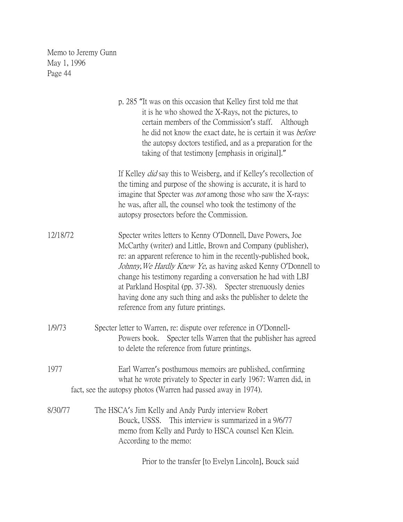|          | p. 285 "It was on this occasion that Kelley first told me that<br>it is he who showed the X-Rays, not the pictures, to<br>certain members of the Commission's staff.<br>Although<br>he did not know the exact date, he is certain it was <i>before</i><br>the autopsy doctors testified, and as a preparation for the<br>taking of that testimony [emphasis in original]."                                                                                                                                   |
|----------|--------------------------------------------------------------------------------------------------------------------------------------------------------------------------------------------------------------------------------------------------------------------------------------------------------------------------------------------------------------------------------------------------------------------------------------------------------------------------------------------------------------|
|          | If Kelley <i>did</i> say this to Weisberg, and if Kelley's recollection of<br>the timing and purpose of the showing is accurate, it is hard to<br>imagine that Specter was <i>not</i> among those who saw the X-rays:<br>he was, after all, the counsel who took the testimony of the<br>autopsy prosectors before the Commission.                                                                                                                                                                           |
| 12/18/72 | Specter writes letters to Kenny O'Donnell, Dave Powers, Joe<br>McCarthy (writer) and Little, Brown and Company (publisher),<br>re: an apparent reference to him in the recently-published book,<br>Johnny, We Hardly Knew Ye, as having asked Kenny O'Donnell to<br>change his testimony regarding a conversation he had with LBJ<br>at Parkland Hospital (pp. 37-38). Specter strenuously denies<br>having done any such thing and asks the publisher to delete the<br>reference from any future printings. |
| 1/9/73   | Specter letter to Warren, re: dispute over reference in O'Donnell-<br>Powers book. Specter tells Warren that the publisher has agreed<br>to delete the reference from future printings.                                                                                                                                                                                                                                                                                                                      |
| 1977     | Earl Warren's posthumous memoirs are published, confirming<br>what he wrote privately to Specter in early 1967: Warren did, in<br>fact, see the autopsy photos (Warren had passed away in 1974).                                                                                                                                                                                                                                                                                                             |
| 8/30/77  | The HSCA's Jim Kelly and Andy Purdy interview Robert<br>Bouck, USSS. This interview is summarized in a 9/6/77<br>memo from Kelly and Purdy to HSCA counsel Ken Klein.<br>According to the memo:                                                                                                                                                                                                                                                                                                              |
|          | Prior to the transfer [to Evelyn Lincoln], Bouck said                                                                                                                                                                                                                                                                                                                                                                                                                                                        |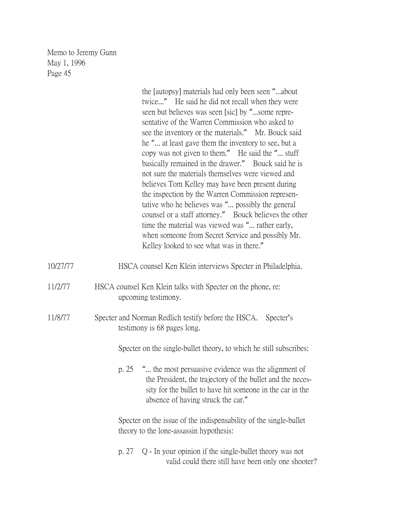| Memo to Jeremy Gunn<br>May 1, 1996<br>Page 45 |                                                                                                                                                                                                                                                                                                                                                                                                                                                                                                                                                                                                                                                                                                                                                                                                                                                                        |
|-----------------------------------------------|------------------------------------------------------------------------------------------------------------------------------------------------------------------------------------------------------------------------------------------------------------------------------------------------------------------------------------------------------------------------------------------------------------------------------------------------------------------------------------------------------------------------------------------------------------------------------------------------------------------------------------------------------------------------------------------------------------------------------------------------------------------------------------------------------------------------------------------------------------------------|
|                                               | the [autopsy] materials had only been seen "about<br>twice" He said he did not recall when they were<br>seen but believes was seen [sic] by "some repre-<br>sentative of the Warren Commission who asked to<br>see the inventory or the materials." Mr. Bouck said<br>he " at least gave them the inventory to see, but a<br>copy was not given to them." He said the " stuff<br>basically remained in the drawer." Bouck said he is<br>not sure the materials themselves were viewed and<br>believes Tom Kelley may have been present during<br>the inspection by the Warren Commission represen-<br>tative who he believes was " possibly the general<br>counsel or a staff attorney." Bouck believes the other<br>time the material was viewed was " rather early,<br>when someone from Secret Service and possibly Mr.<br>Kelley looked to see what was in there." |
| 10/27/77                                      | HSCA counsel Ken Klein interviews Specter in Philadelphia.                                                                                                                                                                                                                                                                                                                                                                                                                                                                                                                                                                                                                                                                                                                                                                                                             |
| 11/2/77                                       | HSCA counsel Ken Klein talks with Specter on the phone, re:<br>upcoming testimony.                                                                                                                                                                                                                                                                                                                                                                                                                                                                                                                                                                                                                                                                                                                                                                                     |
| 11/8/77                                       | Specter and Norman Redlich testify before the HSCA.<br>Specter's<br>testimony is 68 pages long.                                                                                                                                                                                                                                                                                                                                                                                                                                                                                                                                                                                                                                                                                                                                                                        |
|                                               | Specter on the single-bullet theory, to which he still subscribes:                                                                                                                                                                                                                                                                                                                                                                                                                                                                                                                                                                                                                                                                                                                                                                                                     |
|                                               | p. 25 " the most persuasive evidence was the alignment of<br>the President, the trajectory of the bullet and the neces-<br>sity for the bullet to have hit someone in the car in the<br>absence of having struck the car."                                                                                                                                                                                                                                                                                                                                                                                                                                                                                                                                                                                                                                             |
|                                               | Specter on the issue of the indispensability of the single-bullet<br>theory to the lone-assassin hypothesis:                                                                                                                                                                                                                                                                                                                                                                                                                                                                                                                                                                                                                                                                                                                                                           |
|                                               | Q - In your opinion if the single-bullet theory was not<br>p. 27                                                                                                                                                                                                                                                                                                                                                                                                                                                                                                                                                                                                                                                                                                                                                                                                       |

valid could there still have been only one shooter?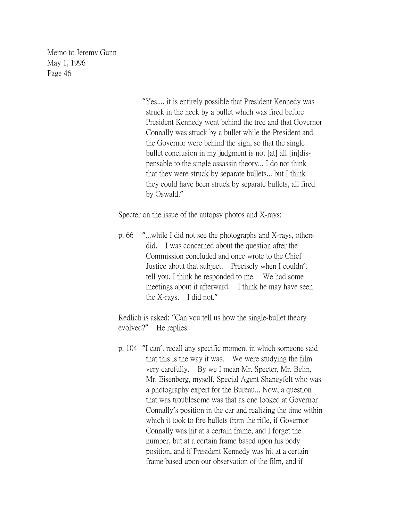> "Yes.... it is entirely possible that President Kennedy was struck in the neck by a bullet which was fired before President Kennedy went behind the tree and that Governor Connally was struck by a bullet while the President and the Governor were behind the sign, so that the single bullet conclusion in my judgment is not [at] all [in]dispensable to the single assassin theory... I do not think that they were struck by separate bullets... but I think they could have been struck by separate bullets, all fired by Oswald."

Specter on the issue of the autopsy photos and X-rays:

p. 66 "...while I did not see the photographs and X-rays, others did. I was concerned about the question after the Commission concluded and once wrote to the Chief Justice about that subject. Precisely when I couldn't tell you. I think he responded to me. We had some meetings about it afterward. I think he may have seen the X-rays. I did not."

Redlich is asked: "Can you tell us how the single-bullet theory evolved?" He replies:

p. 104 "I can't recall any specific moment in which someone said that this is the way it was. We were studying the film very carefully. By we I mean Mr. Specter, Mr. Belin, Mr. Eisenberg, myself, Special Agent Shaneyfelt who was a photography expert for the Bureau... Now, a question that was troublesome was that as one looked at Governor Connally's position in the car and realizing the time within which it took to fire bullets from the rifle, if Governor Connally was hit at a certain frame, and I forget the number, but at a certain frame based upon his body position, and if President Kennedy was hit at a certain frame based upon our observation of the film, and if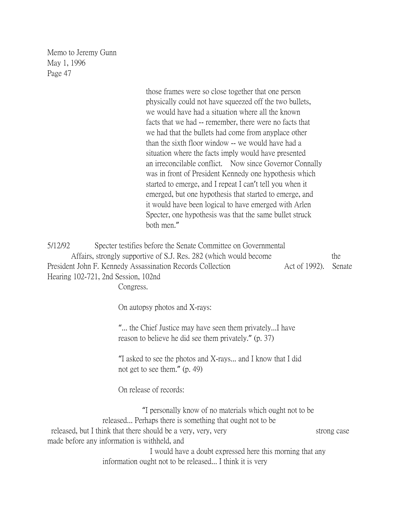> those frames were so close together that one person physically could not have squeezed off the two bullets, we would have had a situation where all the known facts that we had -- remember, there were no facts that we had that the bullets had come from anyplace other than the sixth floor window -- we would have had a situation where the facts imply would have presented an irreconcilable conflict. Now since Governor Connally was in front of President Kennedy one hypothesis which started to emerge, and I repeat I can't tell you when it emerged, but one hypothesis that started to emerge, and it would have been logical to have emerged with Arlen Specter, one hypothesis was that the same bullet struck both men."

5/12/92 Specter testifies before the Senate Committee on Governmental Affairs, strongly supportive of S.J. Res. 282 (which would become the President John F. Kennedy Assassination Records Collection Act of 1992). Senate Hearing 102-721, 2nd Session, 102nd

Congress.

On autopsy photos and X-rays:

"... the Chief Justice may have seen them privately...I have reason to believe he did see them privately." (p. 37)

"I asked to see the photos and X-rays... and I know that I did not get to see them." (p. 49)

On release of records:

"I personally know of no materials which ought not to be released... Perhaps there is something that ought not to be released, but I think that there should be a very, very, very strong case made before any information is withheld, and I would have a doubt expressed here this morning that any

information ought not to be released... I think it is very